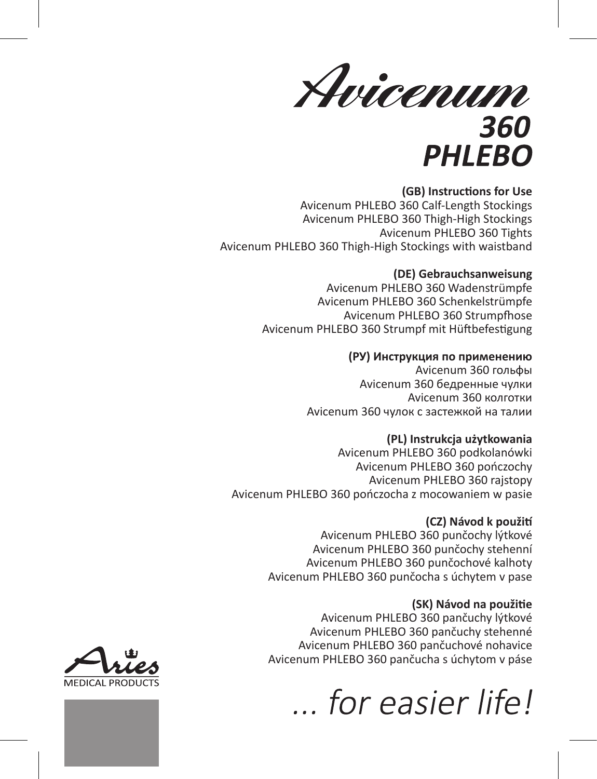Avicenum 360 **PHLEBO** 

### **(GB) Instructions for Use**

Avicenum PHLEBO 360 Calf-Length Stockings Avicenum PHLEBO 360 Thigh-High Stockings Avicenum PHLEBO 360 Tights Avicenum PHLEBO 360 Thigh-High Stockings with waistband

### **(DE) Gebrauchsanweisung**

Avicenum PHLEBO 360 Wadenstrümpfe Avicenum PHLEBO 360 Schenkelstrümpfe Avicenum PHI FRO 360 Strumpfhose Avicenum PHLEBO 360 Strumpf mit Hüftbefestigung

### **(РУ) Инструкция по применению**

Avicenum 360 гольфы Avicenum 360 бедренные чулки Avicenum 360 колготки Avicenum 360 чулок с застежкой на талии

### **(PL) Instrukcja użytkowania**

Avicenum PHLEBO 360 podkolanówki Avicenum PHLEBO 360 pończochy Avicenum PHLEBO 360 rajstopy Avicenum PHLEBO 360 pończocha z mocowaniem w pasie

### **(CZ) Návod k použití**

Avicenum PHLEBO 360 punčochy lýtkové Avicenum PHLEBO 360 punčochy stehenní Avicenum PHLEBO 360 punčochové kalhoty Avicenum PHLEBO 360 punčocha s úchytem v pase

### **(SK) Návod na použitie**

Avicenum PHLEBO 360 pančuchy lýtkové Avicenum PHLEBO 360 pančuchy stehenné Avicenum PHLEBO 360 pančuchové nohavice Avicenum PHLEBO 360 pančucha s úchytom v páse

*for easier life!* 

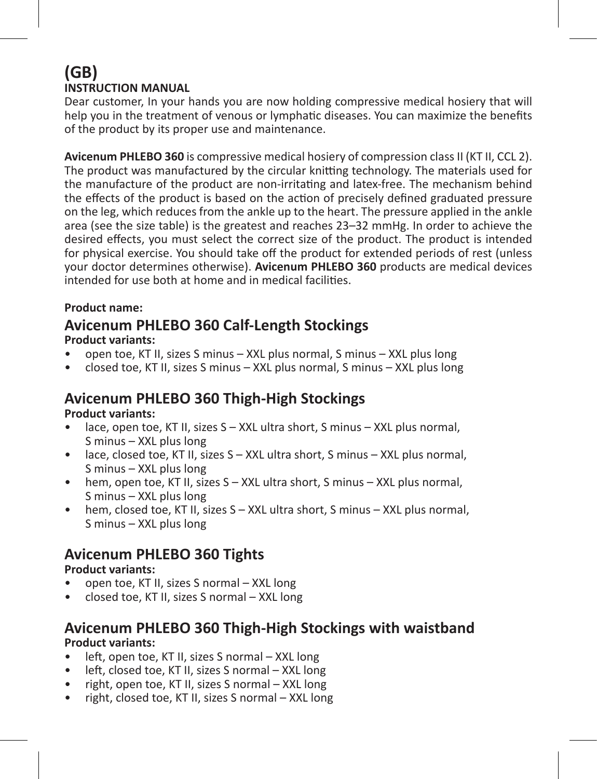### **(GB) INSTRUCTION MANUAL**

Dear customer, In your hands you are now holding compressive medical hosiery that will help you in the treatment of venous or lymphatic diseases. You can maximize the benefits of the product by its proper use and maintenance.

**Avicenum PHLEBO 360** is compressive medical hosiery of compression class II (KT II, CCL 2). The product was manufactured by the circular knitting technology. The materials used for the manufacture of the product are non-irritating and latex-free. The mechanism behind the effects of the product is based on the action of precisely defined graduated pressure on the leg, which reduces from the ankle up to the heart. The pressure applied in the ankle area (see the size table) is the greatest and reaches 23–32 mmHg. In order to achieve the desired effects, you must select the correct size of the product. The product is intended for physical exercise. You should take off the product for extended periods of rest (unless your doctor determines otherwise). **Avicenum PHLEBO 360** products are medical devices intended for use both at home and in medical facilities.

### **Product name:**

# **Avicenum PHLEBO 360 Calf-Length Stockings**

### **Product variants:**

- open toe, KT II, sizes S minus XXL plus normal, S minus XXL plus long
- closed toe, KT II, sizes S minus XXL plus normal, S minus XXL plus long

### **Avicenum PHLEBO 360 Thigh-High Stockings**

### **Product variants:**

- lace, open toe, KT II, sizes S XXL ultra short, S minus XXL plus normal, S minus – XXL plus long
- lace, closed toe, KT II, sizes S XXL ultra short, S minus XXL plus normal, S minus – XXL plus long
- hem, open toe, KT II, sizes S XXL ultra short, S minus XXL plus normal, S minus – XXL plus long
- hem, closed toe, KT II, sizes S XXL ultra short, S minus XXL plus normal, S minus – XXL plus long

### **Avicenum PHLEBO 360 Tights**

### **Product variants:**

- open toe, KT II, sizes S normal XXL long
- closed toe, KT II, sizes S normal XXL long

### **Avicenum PHLEBO 360 Thigh-High Stockings with waistband Product variants:**

- left, open toe, KT II, sizes S normal XXL long
- left, closed toe, KT II, sizes S normal XXL long
- right, open toe, KT II, sizes S normal XXL long
- right, closed toe, KT II, sizes S normal XXL long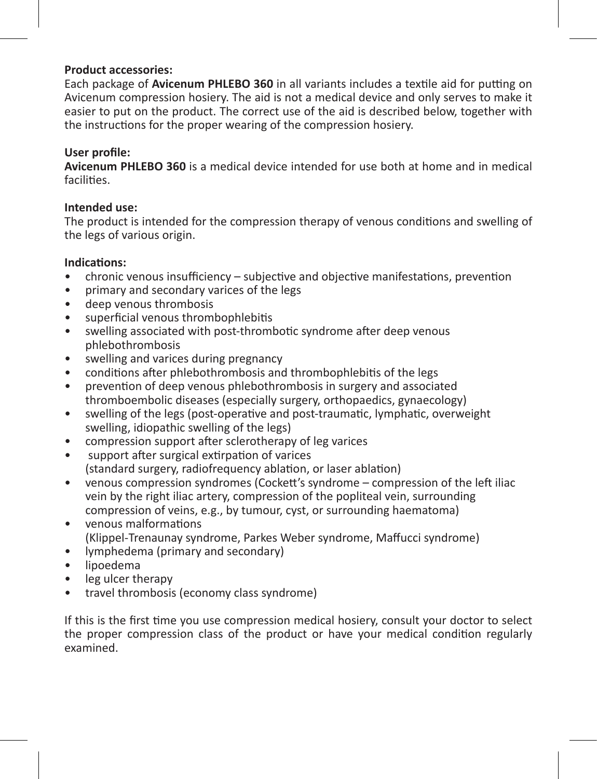### **Product accessories:**

Each package of **Avicenum PHLEBO 360** in all variants includes a textile aid for putting on Avicenum compression hosiery. The aid is not a medical device and only serves to make it easier to put on the product. The correct use of the aid is described below, together with the instructions for the proper wearing of the compression hosiery.

### **User profile:**

**Avicenum PHLEBO 360** is a medical device intended for use both at home and in medical facilities.

### **Intended use:**

The product is intended for the compression therapy of venous conditions and swelling of the legs of various origin.

# **Indications:**

- chronic venous insufficiency subjective and objective manifestations, prevention
- primary and secondary varices of the legs
- deep venous thrombosis
- superficial venous thrombophlebitis
- swelling associated with post-thrombotic syndrome after deep venous phlebothrombosis
- swelling and varices during pregnancy
- conditions after phlebothrombosis and thrombophlebitis of the legs
- prevention of deep venous phlebothrombosis in surgery and associated thromboembolic diseases (especially surgery, orthopaedics, gynaecology)
- swelling of the legs (post-operative and post-traumatic, lymphatic, overweight swelling, idiopathic swelling of the legs)
- compression support after sclerotherapy of leg varices
- support after surgical extirpation of varices (standard surgery, radiofrequency ablation, or laser ablation)
- venous compression syndromes (Cockett's syndrome compression of the left iliac vein by the right iliac artery, compression of the popliteal vein, surrounding compression of veins, e.g., by tumour, cyst, or surrounding haematoma)
- venous malformations (Klippel-Trenaunay syndrome, Parkes Weber syndrome, Maffucci syndrome)
- lymphedema (primary and secondary)
- lipoedema
- leg ulcer therapy
- travel thrombosis (economy class syndrome)

If this is the first time you use compression medical hosiery, consult your doctor to select the proper compression class of the product or have your medical condition regularly examined.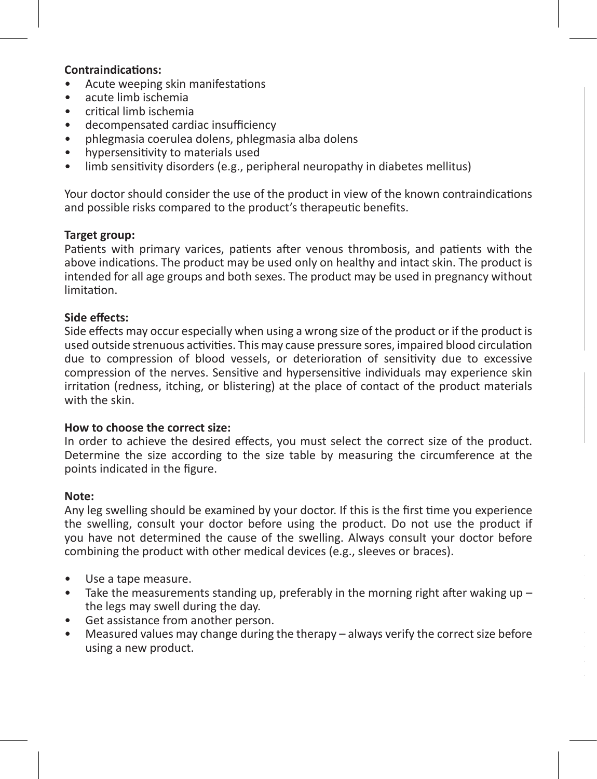### **Contraindications:**

- Acute weeping skin manifestations
- acute limb ischemia
- critical limb ischemia
- decompensated cardiac insufficiency
- phlegmasia coerulea dolens, phlegmasia alba dolens
- hypersensitivity to materials used
- limb sensitivity disorders (e.g., peripheral neuropathy in diabetes mellitus)

Your doctor should consider the use of the product in view of the known contraindications and possible risks compared to the product's therapeutic benefits.

### **Target group:**

Patients with primary varices, patients after venous thrombosis, and patients with the above indications. The product may be used only on healthy and intact skin. The product is intended for all age groups and both sexes. The product may be used in pregnancy without limitation.

### **Side effects:**

Side effects may occur especially when using a wrong size of the product or if the product is used outside strenuous activities. This may cause pressure sores, impaired blood circulation due to compression of blood vessels, or deterioration of sensitivity due to excessive compression of the nerves. Sensitive and hypersensitive individuals may experience skin irritation (redness, itching, or blistering) at the place of contact of the product materials with the skin.

#### **How to choose the correct size:**

In order to achieve the desired effects, you must select the correct size of the product. Determine the size according to the size table by measuring the circumference at the points indicated in the figure.

#### **Note:**

Any leg swelling should be examined by your doctor. If this is the first time you experience the swelling, consult your doctor before using the product. Do not use the product if you have not determined the cause of the swelling. Always consult your doctor before combining the product with other medical devices (e.g., sleeves or braces).

- Use a tape measure.
- Take the measurements standing up, preferably in the morning right after waking up the legs may swell during the day.
- Get assistance from another person.
- Measured values may change during the therapy always verify the correct size before using a new product.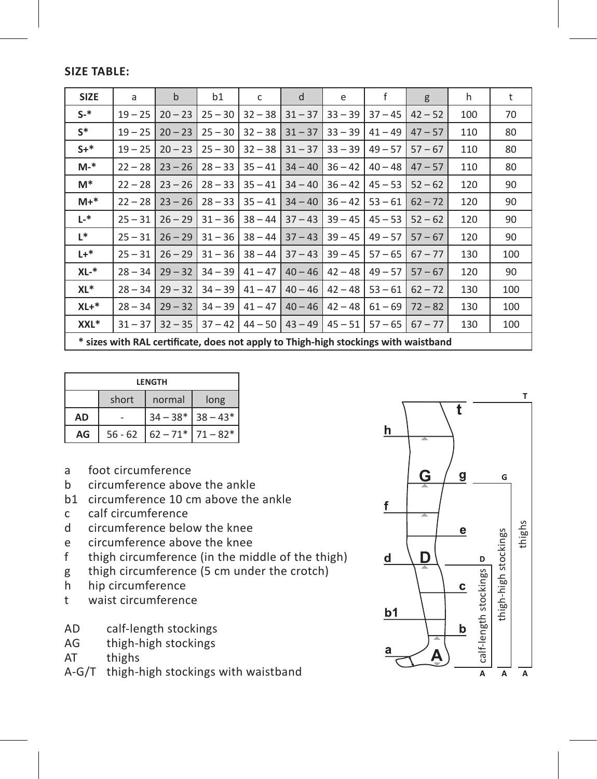**Size table:**

| <b>SIZE</b> | a                                                                                   | $\mathbf b$ | b1        | c         | d         | e         | f         | g         | h   | t   |
|-------------|-------------------------------------------------------------------------------------|-------------|-----------|-----------|-----------|-----------|-----------|-----------|-----|-----|
| $S-$ *      | $19 - 25$                                                                           | $20 - 23$   | $25 - 30$ | $32 - 38$ | $31 - 37$ | $33 - 39$ | $37 - 45$ | $42 - 52$ | 100 | 70  |
| $S^*$       | $19 - 25$                                                                           | $20 - 23$   | $25 - 30$ | $32 - 38$ | $31 - 37$ | $33 - 39$ | $41 - 49$ | $47 - 57$ | 110 | 80  |
| $S +$ *     | $19 - 25$                                                                           | $20 - 23$   | $25 - 30$ | $32 - 38$ | $31 - 37$ | $33 - 39$ | $49 - 57$ | $57 - 67$ | 110 | 80  |
| M-*         | $22 - 28$                                                                           | $23 - 26$   | $28 - 33$ | $35 - 41$ | $34 - 40$ | $36 - 42$ | $40 - 48$ | $47 - 57$ | 110 | 80  |
| M*          | $22 - 28$                                                                           | $23 - 26$   | $28 - 33$ | $35 - 41$ | $34 - 40$ | $36 - 42$ | $45 - 53$ | $52 - 62$ | 120 | 90  |
| $M+*$       | $22 - 28$                                                                           | $23 - 26$   | $28 - 33$ | $35 - 41$ | $34 - 40$ | $36 - 42$ | $53 - 61$ | $62 - 72$ | 120 | 90  |
| L-*         | $25 - 31$                                                                           | $26 - 29$   | $31 - 36$ | $38 - 44$ | $37 - 43$ | $39 - 45$ | $45 - 53$ | $52 - 62$ | 120 | 90  |
| L*.         | $25 - 31$                                                                           | $26 - 29$   | $31 - 36$ | $38 - 44$ | $37 - 43$ | $39 - 45$ | $49 - 57$ | $57 - 67$ | 120 | 90  |
| $L +$ *     | $25 - 31$                                                                           | $26 - 29$   | $31 - 36$ | $38 - 44$ | $37 - 43$ | $39 - 45$ | $57 - 65$ | $67 - 77$ | 130 | 100 |
| $XL-*$      | $28 - 34$                                                                           | $29 - 32$   | $34 - 39$ | $41 - 47$ | $40 - 46$ | $42 - 48$ | $49 - 57$ | $57 - 67$ | 120 | 90  |
| XL*         | $28 - 34$                                                                           | $29 - 32$   | $34 - 39$ | $41 - 47$ | $40 - 46$ | $42 - 48$ | $53 - 61$ | $62 - 72$ | 130 | 100 |
| $XL+*$      | $28 - 34$                                                                           | $29 - 32$   | $34 - 39$ | $41 - 47$ | $40 - 46$ | $42 - 48$ | $61 - 69$ | $72 - 82$ | 130 | 100 |
| XXL*        | $31 - 37$                                                                           | $32 - 35$   | $37 - 42$ | $44 - 50$ | $43 - 49$ | $45 - 51$ | $57 - 65$ | $67 - 77$ | 130 | 100 |
|             | * sizes with RAL certificate, does not apply to Thigh-high stockings with waistband |             |           |           |           |           |           |           |     |     |

| LENGTH    |           |                     |                         |  |  |  |  |
|-----------|-----------|---------------------|-------------------------|--|--|--|--|
|           | short     | normal              | long                    |  |  |  |  |
| <b>AD</b> |           | $34 - 38*$ 38 - 43* |                         |  |  |  |  |
| AG        | $56 - 62$ |                     | $62 - 71$ * $71 - 82$ * |  |  |  |  |

- a foot circumference
- b circumference above the ankle
- b1 circumference 10 cm above the ankle<br>c calf circumference
- c calf circumference<br>d circumference belo
- d circumference below the knee<br>e circumference above the knee
- e circumference above the knee<br>f thigh circumference (in the min
- thigh circumference (in the middle of the thigh)
- g thigh circumference (5 cm under the crotch)<br>h hip circumference
- hip circumference
- t waist circumference
- AD calf-length stockings<br>AG thigh-high stockings
- thigh-high stockings
- AT thighs
- A-G/T thigh-high stockings with waistband

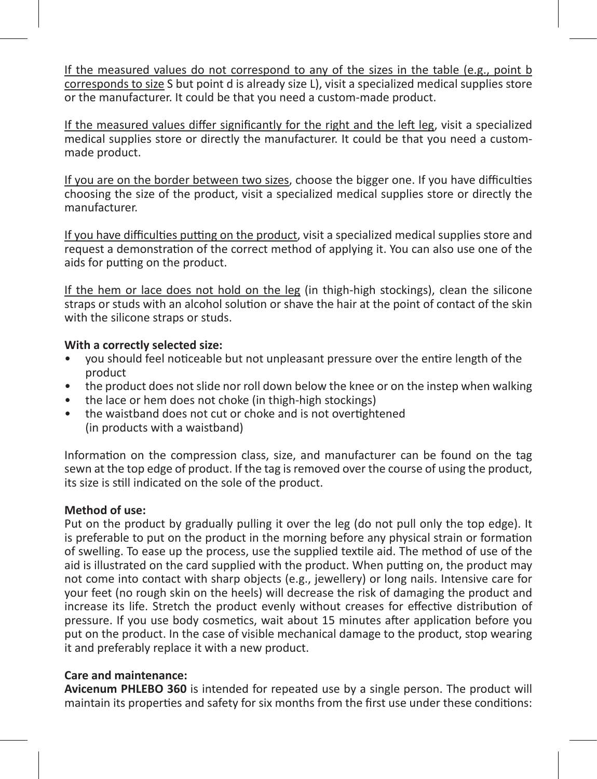If the measured values do not correspond to any of the sizes in the table (e.g., point b corresponds to size S but point d is already size L), visit a specialized medical supplies store or the manufacturer. It could be that you need a custom-made product.

If the measured values differ significantly for the right and the left leg, visit a specialized medical supplies store or directly the manufacturer. It could be that you need a custommade product.

If you are on the border between two sizes, choose the bigger one. If you have difficulties choosing the size of the product, visit a specialized medical supplies store or directly the manufacturer.

If you have difficulties putting on the product, visit a specialized medical supplies store and request a demonstration of the correct method of applying it. You can also use one of the aids for putting on the product.

If the hem or lace does not hold on the leg (in thigh-high stockings), clean the silicone straps or studs with an alcohol solution or shave the hair at the point of contact of the skin with the silicone straps or studs.

### **With a correctly selected size:**

- you should feel noticeable but not unpleasant pressure over the entire length of the product
- the product does not slide nor roll down below the knee or on the instep when walking
- the lace or hem does not choke (in thigh-high stockings)
- the waistband does not cut or choke and is not overtightened (in products with a waistband)

Information on the compression class, size, and manufacturer can be found on the tag sewn at the top edge of product. If the tag is removed over the course of using the product, its size is still indicated on the sole of the product.

### **Method of use:**

Put on the product by gradually pulling it over the leg (do not pull only the top edge). It is preferable to put on the product in the morning before any physical strain or formation of swelling. To ease up the process, use the supplied textile aid. The method of use of the aid is illustrated on the card supplied with the product. When putting on, the product may not come into contact with sharp objects (e.g., jewellery) or long nails. Intensive care for your feet (no rough skin on the heels) will decrease the risk of damaging the product and increase its life. Stretch the product evenly without creases for effective distribution of pressure. If you use body cosmetics, wait about 15 minutes after application before you put on the product. In the case of visible mechanical damage to the product, stop wearing it and preferably replace it with a new product.

### **Care and maintenance:**

**Avicenum PHLEBO 360** is intended for repeated use by a single person. The product will maintain its properties and safety for six months from the first use under these conditions: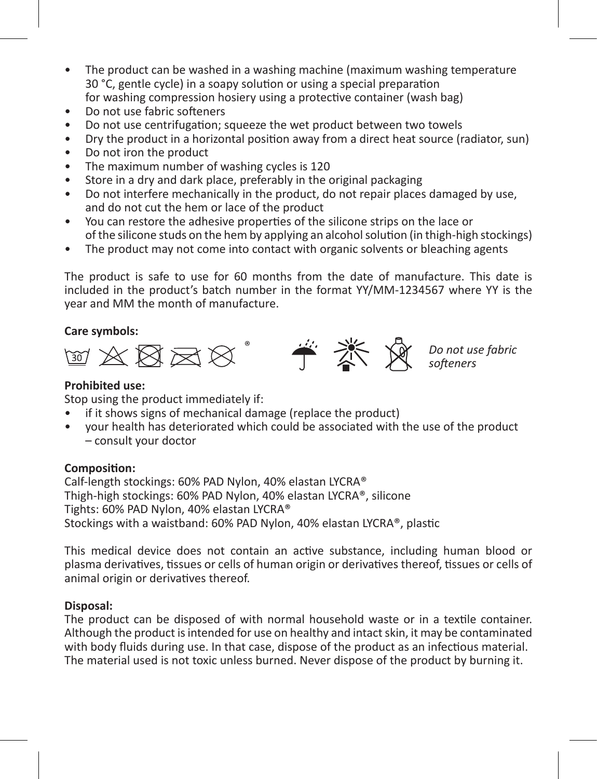- The product can be washed in a washing machine (maximum washing temperature 30 °C, gentle cycle) in a soapy solution or using a special preparation for washing compression hosiery using a protective container (wash bag)
- 
- Do not use fabric softeners
- Do not use centrifugation; squeeze the wet product between two towels
- Dry the product in a horizontal position away from a direct heat source (radiator, sun)
- Do not iron the product
- The maximum number of washing cycles is 120
- Store in a dry and dark place, preferably in the original packaging
- Do not interfere mechanically in the product, do not repair places damaged by use, and do not cut the hem or lace of the product
- You can restore the adhesive properties of the silicone strips on the lace or of the silicone studs on the hem by applying an alcohol solution (in thigh-high stockings)
- The product may not come into contact with organic solvents or bleaching agents

The product is safe to use for 60 months from the date of manufacture. This date is included in the product's batch number in the format YY/MM-1234567 where YY is the year and MM the month of manufacture.

### **Care symbols:**



### **Prohibited use:**

Stop using the product immediately if:

- if it shows signs of mechanical damage (replace the product)
- your health has deteriorated which could be associated with the use of the product – consult your doctor

### **Composition:**

Calf-length stockings: 60% PAD Nylon, 40% elastan LYCRA® Thigh-high stockings: 60% PAD Nylon, 40% elastan LYCRA®, silicone Tights: 60% PAD Nylon, 40% elastan LYCRA® Stockings with a waistband: 60% PAD Nylon, 40% elastan LYCRA®, plastic

This medical device does not contain an active substance, including human blood or plasma derivatives, tissues or cells of human origin or derivatives thereof, tissues or cells of animal origin or derivatives thereof.

### **Disposal:**

The product can be disposed of with normal household waste or in a textile container. Although the product is intended for use on healthy and intact skin, it may be contaminated with body fluids during use. In that case, dispose of the product as an infectious material. The material used is not toxic unless burned. Never dispose of the product by burning it.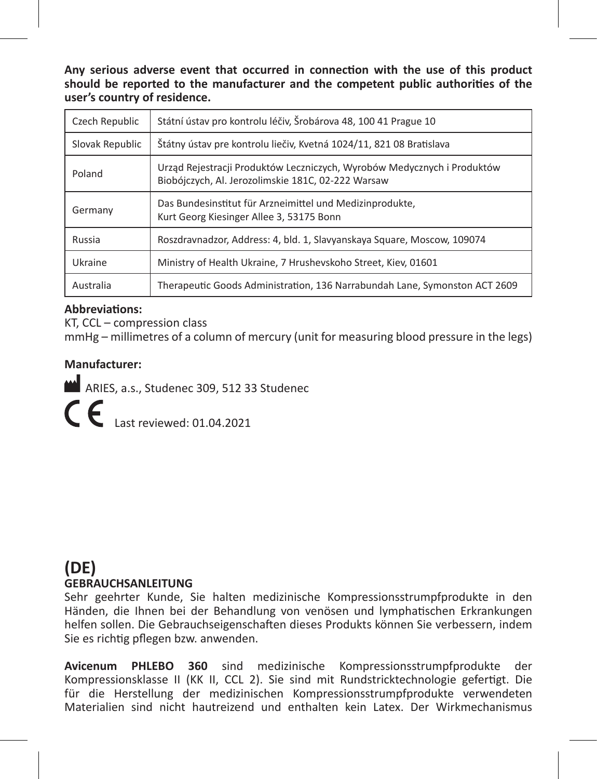**Any serious adverse event that occurred in connection with the use of this product should be reported to the manufacturer and the competent public authorities of the user's country of residence.**

| Czech Republic  | Státní ústav pro kontrolu léčiv, Šrobárova 48, 100 41 Prague 10                                                               |
|-----------------|-------------------------------------------------------------------------------------------------------------------------------|
| Slovak Republic | Štátny ústav pre kontrolu liečiy. Kvetná 1024/11. 821 08 Bratislava                                                           |
| Poland          | Urząd Rejestracji Produktów Leczniczych, Wyrobów Medycznych i Produktów<br>Biobójczych, Al. Jerozolimskie 181C, 02-222 Warsaw |
| Germany         | Das Bundesinstitut für Arzneimittel und Medizinprodukte.<br>Kurt Georg Kiesinger Allee 3, 53175 Bonn                          |
| Russia          | Roszdravnadzor, Address: 4, bld. 1, Slavyanskaya Square, Moscow, 109074                                                       |
| Ukraine         | Ministry of Health Ukraine, 7 Hrusheyskoho Street, Kiev, 01601                                                                |
| Australia       | Therapeutic Goods Administration, 136 Narrabundah Lane, Symonston ACT 2609                                                    |

### **Abbreviations:**

KT, CCL – compression class

mmHg – millimetres of a column of mercury (unit for measuring blood pressure in the legs)

### **Manufacturer:**

ARIES, a.s., Studenec 309, 512 33 Studenec

Last reviewed: 01.04.2021

### **(DE) GEBRAUCHSANLEITUNG**

Sehr geehrter Kunde, Sie halten medizinische Kompressionsstrumpfprodukte in den Händen, die Ihnen bei der Behandlung von venösen und lymphatischen Erkrankungen helfen sollen. Die Gebrauchseigenschaften dieses Produkts können Sie verbessern, indem Sie es richtig pflegen bzw. anwenden.

**Avicenum PHLEBO 360** sind medizinische Kompressionsstrumpfprodukte der Kompressionsklasse II (KK II, CCL 2). Sie sind mit Rundstricktechnologie gefertigt. Die für die Herstellung der medizinischen Kompressionsstrumpfprodukte verwendeten Materialien sind nicht hautreizend und enthalten kein Latex. Der Wirkmechanismus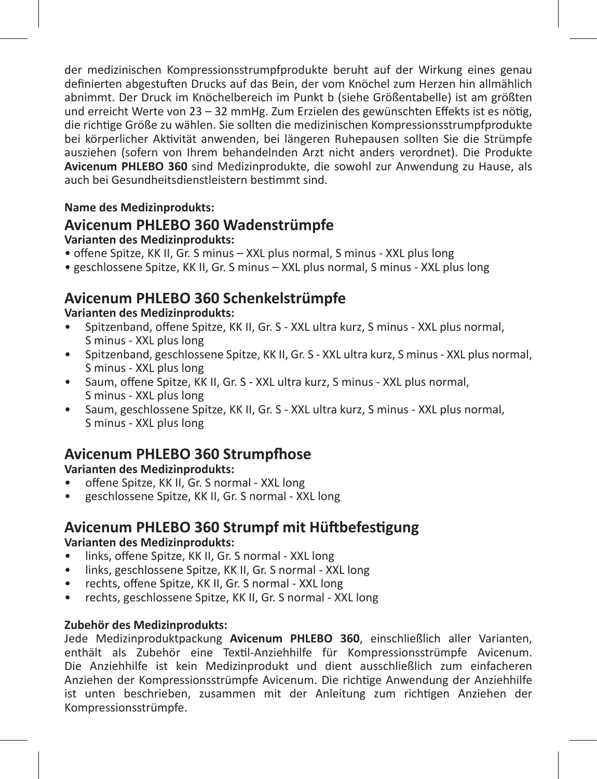der medizinischen Kompressionsstrumpfprodukte beruht auf der Wirkung eines genau definierten abgestuften Drucks auf das Bein, der vom Knöchel zum Herzen hin allmählich abnimmt. Der Druck im Knöchelbereich im Punkt b (siehe Größentabelle) ist am größten und erreicht Werte von 23 – 32 mmHg. Zum Erzielen des gewünschten Effekts ist es nötig, die richtige Größe zu wählen. Sie sollten die medizinischen Kompressionsstrumpfprodukte bei körperlicher Aktivität anwenden, bei längeren Ruhepausen sollten Sie die Strümpfe ausziehen (sofern von Ihrem behandelnden Arzt nicht anders verordnet). Die Produkte **Avicenum PHLEBO 360** sind Medizinprodukte, die sowohl zur Anwendung zu Hause, als auch bei Gesundheitsdienstleistern bestimmt sind.

### **Name des Medizinprodukts:**

### **Avicenum PHLEBO 360 Wadenstrümpfe**

**Varianten des Medizinprodukts:**

- offene Spitze, KK II, Gr. S minus XXL plus normal, S minus XXL plus long
- geschlossene Spitze, KK II, Gr. S minus XXL plus normal, S minus XXL plus long

### **Avicenum PHLEBO 360 Schenkelstrümpfe**

### **Varianten des Medizinprodukts:**

- Spitzenband, offene Spitze, KK II, Gr. S XXL ultra kurz, S minus XXL plus normal, S minus - XXL plus long
- Spitzenband, geschlossene Spitze, KK II, Gr. S XXL ultra kurz, S minus XXL plus normal, S minus - XXL plus long
- Saum, offene Spitze, KK II, Gr. S XXL ultra kurz, S minus XXL plus normal, S minus - XXL plus long
- Saum, geschlossene Spitze, KK II, Gr. S XXL ultra kurz, S minus XXL plus normal, S minus - XXL plus long

### **Avicenum PHLEBO 360 Strumpfhose**

### **Varianten des Medizinprodukts:**

- offene Spitze, KK II, Gr. S normal XXL long
- geschlossene Spitze, KK II, Gr. S normal XXL long

### **Avicenum PHLEBO 360 Strumpf mit Hüftbefestigung**

### **Varianten des Medizinprodukts:**

- links, offene Spitze, KK II, Gr. S normal XXL long
- links, geschlossene Spitze, KK II, Gr. S normal XXL long
- rechts, offene Spitze, KK II, Gr. S normal XXL long
- rechts, geschlossene Spitze, KK II, Gr. S normal XXL long

### **Zubehör des Medizinprodukts:**

Jede Medizinproduktpackung **Avicenum PHLEBO 360**, einschließlich aller Varianten, enthält als Zubehör eine Textil-Anziehhilfe für Kompressionsstrümpfe Avicenum. Die Anziehhilfe ist kein Medizinprodukt und dient ausschließlich zum einfacheren Anziehen der Kompressionsstrümpfe Avicenum. Die richtige Anwendung der Anziehhilfe ist unten beschrieben, zusammen mit der Anleitung zum richtigen Anziehen der Kompressionsstrümpfe.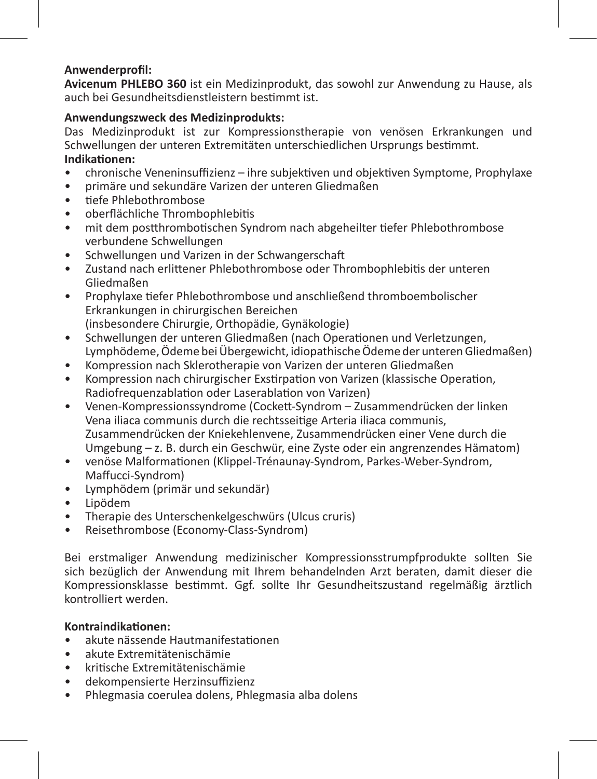### **Anwenderprofil:**

**Avicenum PHLEBO 360** ist ein Medizinprodukt, das sowohl zur Anwendung zu Hause, als auch bei Gesundheitsdienstleistern bestimmt ist.

### **Anwendungszweck des Medizinprodukts:**

Das Medizinprodukt ist zur Kompressionstherapie von venösen Erkrankungen und Schwellungen der unteren Extremitäten unterschiedlichen Ursprungs bestimmt. **Indikationen:** 

- chronische Veneninsuffizienz ihre subjektiven und objektiven Symptome, Prophylaxe
- primäre und sekundäre Varizen der unteren Gliedmaßen
- tiefe Phlebothrombose
- oberflächliche Thrombophlebitis
- mit dem postthrombotischen Syndrom nach abgeheilter tiefer Phlebothrombose verbundene Schwellungen
- Schwellungen und Varizen in der Schwangerschaft
- Zustand nach erlittener Phlebothrombose oder Thrombophlebitis der unteren Gliedmaßen
- Prophylaxe tiefer Phlebothrombose und anschließend thromboembolischer Erkrankungen in chirurgischen Bereichen (insbesondere Chirurgie, Orthopädie, Gynäkologie)
- Schwellungen der unteren Gliedmaßen (nach Operationen und Verletzungen, Lymphödeme, Ödeme bei Übergewicht, idiopathische Ödeme der unteren Gliedmaßen)
- Kompression nach Sklerotherapie von Varizen der unteren Gliedmaßen
- Kompression nach chirurgischer Exstirpation von Varizen (klassische Operation, Radiofrequenzablation oder Laserablation von Varizen)
- Venen-Kompressionssyndrome (Cockett-Syndrom Zusammendrücken der linken Vena iliaca communis durch die rechtsseitige Arteria iliaca communis, Zusammendrücken der Kniekehlenvene, Zusammendrücken einer Vene durch die Umgebung – z. B. durch ein Geschwür, eine Zyste oder ein angrenzendes Hämatom)
- venöse Malformationen (Klippel-Trénaunay-Syndrom, Parkes-Weber-Syndrom, Maffucci-Syndrom)
- Lymphödem (primär und sekundär)
- Lipödem
- Therapie des Unterschenkelgeschwürs (Ulcus cruris)
- Reisethrombose (Economy-Class-Syndrom)

Bei erstmaliger Anwendung medizinischer Kompressionsstrumpfprodukte sollten Sie sich bezüglich der Anwendung mit Ihrem behandelnden Arzt beraten, damit dieser die Kompressionsklasse bestimmt. Ggf. sollte Ihr Gesundheitszustand regelmäßig ärztlich kontrolliert werden.

### **Kontraindikationen:**

- akute nässende Hautmanifestationen
- akute Extremitätenischämie
- kritische Extremitätenischämie
- dekompensierte Herzinsuffizienz
- Phlegmasia coerulea dolens, Phlegmasia alba dolens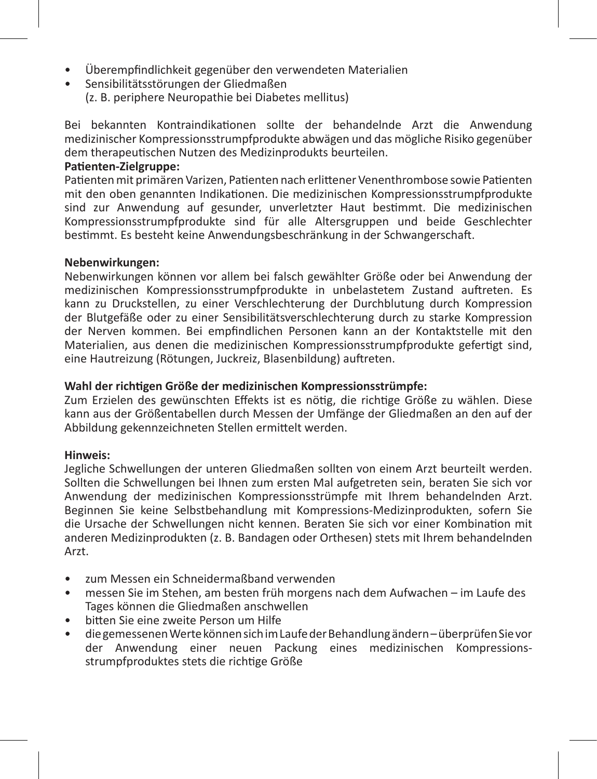- Überempfindlichkeit gegenüber den verwendeten Materialien
- Sensibilitätsstörungen der Gliedmaßen (z. B. periphere Neuropathie bei Diabetes mellitus)

Bei bekannten Kontraindikationen sollte der behandelnde Arzt die Anwendung medizinischer Kompressionsstrumpfprodukte abwägen und das mögliche Risiko gegenüber dem therapeutischen Nutzen des Medizinprodukts beurteilen.

### **Patienten-Zielgruppe:**

Patienten mit primären Varizen, Patienten nach erlittener Venenthrombose sowie Patienten mit den oben genannten Indikationen. Die medizinischen Kompressionsstrumpfprodukte sind zur Anwendung auf gesunder, unverletzter Haut bestimmt. Die medizinischen Kompressionsstrumpfprodukte sind für alle Altersgruppen und beide Geschlechter bestimmt. Es besteht keine Anwendungsbeschränkung in der Schwangerschaft.

#### **Nebenwirkungen:**

Nebenwirkungen können vor allem bei falsch gewählter Größe oder bei Anwendung der medizinischen Kompressionsstrumpfprodukte in unbelastetem Zustand auftreten. Es kann zu Druckstellen, zu einer Verschlechterung der Durchblutung durch Kompression der Blutgefäße oder zu einer Sensibilitätsverschlechterung durch zu starke Kompression der Nerven kommen. Bei empfindlichen Personen kann an der Kontaktstelle mit den Materialien, aus denen die medizinischen Kompressionsstrumpfprodukte gefertigt sind, eine Hautreizung (Rötungen, Juckreiz, Blasenbildung) auftreten.

### **Wahl der richtigen Größe der medizinischen Kompressionsstrümpfe:**

Zum Erzielen des gewünschten Effekts ist es nötig, die richtige Größe zu wählen. Diese kann aus der Größentabellen durch Messen der Umfänge der Gliedmaßen an den auf der Abbildung gekennzeichneten Stellen ermittelt werden.

### **Hinweis:**

Jegliche Schwellungen der unteren Gliedmaßen sollten von einem Arzt beurteilt werden. Sollten die Schwellungen bei Ihnen zum ersten Mal aufgetreten sein, beraten Sie sich vor Anwendung der medizinischen Kompressionsstrümpfe mit Ihrem behandelnden Arzt. Beginnen Sie keine Selbstbehandlung mit Kompressions-Medizinprodukten, sofern Sie die Ursache der Schwellungen nicht kennen. Beraten Sie sich vor einer Kombination mit anderen Medizinprodukten (z. B. Bandagen oder Orthesen) stets mit Ihrem behandelnden Arzt.

- zum Messen ein Schneidermaßband verwenden
- messen Sie im Stehen, am besten früh morgens nach dem Aufwachen im Laufe des Tages können die Gliedmaßen anschwellen
- bitten Sie eine zweite Person um Hilfe
- die gemessenen Werte können sich im Laufe der Behandlung ändern überprüfen Sie vor der Anwendung einer neuen Packung eines medizinischen Kompressionsstrumpfproduktes stets die richtige Größe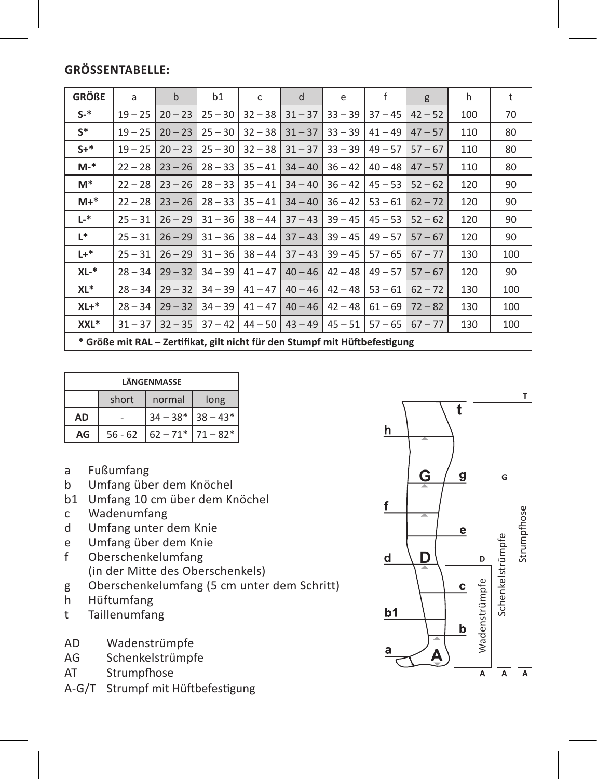### **GröSSentabelle:**

| <b>GRÖßE</b> | a                                                                           | $\mathbf b$ | b1        | c         | d         | e         | f         | g         | h   | t   |
|--------------|-----------------------------------------------------------------------------|-------------|-----------|-----------|-----------|-----------|-----------|-----------|-----|-----|
| $S-$ *       | $19 - 25$                                                                   | $20 - 23$   | $25 - 30$ | $32 - 38$ | $31 - 37$ | $33 - 39$ | $37 - 45$ | $42 - 52$ | 100 | 70  |
| $S^*$        | $19 - 25$                                                                   | $20 - 23$   | $25 - 30$ | $32 - 38$ | $31 - 37$ | $33 - 39$ | $41 - 49$ | $47 - 57$ | 110 | 80  |
| $S+$ *       | $19 - 25$                                                                   | $20 - 23$   | $25 - 30$ | $32 - 38$ | $31 - 37$ | $33 - 39$ | $49 - 57$ | $57 - 67$ | 110 | 80  |
| M-*          | $22 - 28$                                                                   | $23 - 26$   | $28 - 33$ | $35 - 41$ | $34 - 40$ | $36 - 42$ | $40 - 48$ | $47 - 57$ | 110 | 80  |
| M*           | $22 - 28$                                                                   | $23 - 26$   | $28 - 33$ | $35 - 41$ | $34 - 40$ | $36 - 42$ | $45 - 53$ | $52 - 62$ | 120 | 90  |
| $M+*$        | $22 - 28$                                                                   | $23 - 26$   | $28 - 33$ | $35 - 41$ | $34 - 40$ | $36 - 42$ | $53 - 61$ | $62 - 72$ | 120 | 90  |
| $L^*$        | $25 - 31$                                                                   | $26 - 29$   | $31 - 36$ | $38 - 44$ | $37 - 43$ | $39 - 45$ | $45 - 53$ | $52 - 62$ | 120 | 90  |
| L*           | $25 - 31$                                                                   | $26 - 29$   | $31 - 36$ | $38 - 44$ | $37 - 43$ | $39 - 45$ | $49 - 57$ | $57 - 67$ | 120 | 90  |
| $L +$ *      | $25 - 31$                                                                   | $26 - 29$   | $31 - 36$ | $38 - 44$ | $37 - 43$ | $39 - 45$ | $57 - 65$ | $67 - 77$ | 130 | 100 |
| XL-*         | $28 - 34$                                                                   | $29 - 32$   | $34 - 39$ | $41 - 47$ | $40 - 46$ | $42 - 48$ | $49 - 57$ | $57 - 67$ | 120 | 90  |
| XL*          | $28 - 34$                                                                   | $29 - 32$   | $34 - 39$ | $41 - 47$ | $40 - 46$ | $42 - 48$ | $53 - 61$ | $62 - 72$ | 130 | 100 |
| $XL+*$       | $28 - 34$                                                                   | $29 - 32$   | $34 - 39$ | $41 - 47$ | $40 - 46$ | $42 - 48$ | $61 - 69$ | $72 - 82$ | 130 | 100 |
| XXL*         | $31 - 37$                                                                   | $32 - 35$   | $37 - 42$ | $44 - 50$ | $43 - 49$ | $45 - 51$ | $57 - 65$ | $67 - 77$ | 130 | 100 |
|              | * Größe mit RAL – Zertifikat, gilt nicht für den Stumpf mit Hüftbefestigung |             |           |           |           |           |           |           |     |     |

| LÄNGENMASSE |           |                     |                           |  |  |  |  |
|-------------|-----------|---------------------|---------------------------|--|--|--|--|
|             | short     | normal              | long                      |  |  |  |  |
| <b>AD</b>   |           | $34 - 38*$ 38 - 43* |                           |  |  |  |  |
| AG          | $56 - 62$ |                     | $62 - 71$ *   $71 - 82$ * |  |  |  |  |

- a Fußumfang
- b Umfang über dem Knöchel
- b1 Umfang 10 cm über dem Knöchel
- c Wadenumfang
- d Umfang unter dem Knie
- e Umfang über dem Knie<br>f Oberschenkelumfang
- Oberschenkelumfang (in der Mitte des Oberschenkels)
- g Oberschenkelumfang (5 cm unter dem Schritt)
- h Hüftumfang
- t Taillenumfang
- AD Wadenstrümpfe
- AG Schenkelstrümpfe
- AT Strumpfhose
- A-G/T Strumpf mit Hüftbefestigung

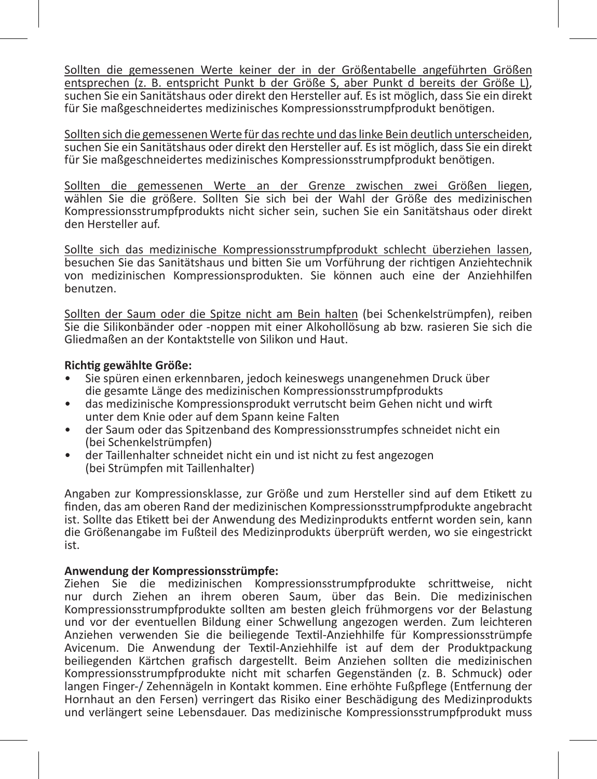Sollten die gemessenen Werte keiner der in der Größentabelle angeführten Größen<br>entsprechen (z. B. entspricht Punkt b.der Größe S. aber Punkt d. bereits der Größe II suchen Sie ein Sanitätshaus oder direkt den Hersteller auf. Es ist möglich, dass Sie ein direkt für Sie maßgeschneidertes medizinisches Kompressionsstrumpfprodukt benötigen.

Sollten sich die gemessenen Werte für das rechte und das linke Bein deutlich unterscheiden,<br>suchen Sie ein Sanitätshaus oder direkt den Hersteller auf. Es ist möglich, dass Sie ein direkt für Sie maßgeschneidertes medizinisches Kompressionsstrumpfprodukt benötigen.

Sollten die gemessenen Werte an der Grenze zwischen zwei Größen liegen, wat der Werten Sie die größere. Sollten Sie der Wahl der Größen sie die größere. Sollten Sie sich bei der Wahl der Größe des medizinischen Kompressionsstrumpfprodukts nicht sicher sein, suchen Sie ein Sanitätshaus oder direkt den Hersteller auf.

Sollte sich das medizinische Kompressionsstrumpfprodukt schlecht überziehen lassen, besuchen Sie das Sanitätshaus und bitten Sie um Vorführung der richtigen Anziehtechnik von medizinischen Kompressionsprodukten. Sie können auch eine der Anziehhilfen benutzen.

Sollten der Saum oder die Spitze nicht am Bein halten (bei Schenkelstrümpfen), reiben Sie die Silikonbänder oder -noppen mit einer Alkohollösung ab bzw. rasieren Sie sich die Gliedmaßen an der Kontaktstelle von Silikon und Haut.

### **Richtig gewählte Größe:**

- Sie spüren einen erkennbaren, jedoch keineswegs unangenehmen Druck über die gesamte Länge des medizinischen Kompressionsstrumpfprodukts
- das medizinische Kompressionsprodukt verrutscht beim Gehen nicht und wirft unter dem Knie oder auf dem Spann keine Falten
- der Saum oder das Spitzenband des Kompressionsstrumpfes schneidet nicht ein<br>(bei Schenkelstrümpfen)
- der Taillenhalter schneidet nicht ein und ist nicht zu fest angezogen (bei Strümpfen mit Taillenhalter)

Angaben zur Kompressionsklasse, zur Größe und zum Hersteller sind auf dem Etikett zu finden, das am oberen Rand der medizinischen Kompressionsstrumpfprodukte angebracht ist. Sollte das Etikett bei der Anwendung des Medizinprodukts entfernt worden sein, kann die Größenangabe im Fußteil des Medizinprodukts überprüft werden, wo sie eingestrickt ist.

### **Anwendung der Kompressionsstrümpfe:**

Ziehen Sie die medizinischen Kompressionsstrumpfprodukte schrittweise, nicht nur durch Ziehen an ihrem oberen Saum, über das Bein. Die medizinischen Kompressionsstrumpfprodukte sollten am besten gleich frühmorgens vor der Belastung und vor der eventuellen Bildung einer Schwellung angezogen werden. Zum leichteren Anziehen verwenden Sie die beiliegende Textil-Anziehhilfe für Kompressionsstrümpfe Avicenum. Die Anwendung der Textil-Anziehhilfe ist auf dem der Produktpackung beiliegenden Kärtchen grafisch dargestellt. Beim Anziehen sollten die medizinischen Kompressionsstrumpfprodukte nicht mit scharfen Gegenständen (z. B. Schmuck) oder langen Finger-/ Zehennägeln in Kontakt kommen. Eine erhöhte Fußpflege (Entfernung der Hornhaut an den Fersen) verringert das Risiko einer Beschädigung des Medizinprodukts und verlängert seine Lebensdauer. Das medizinische Kompressionsstrumpfprodukt muss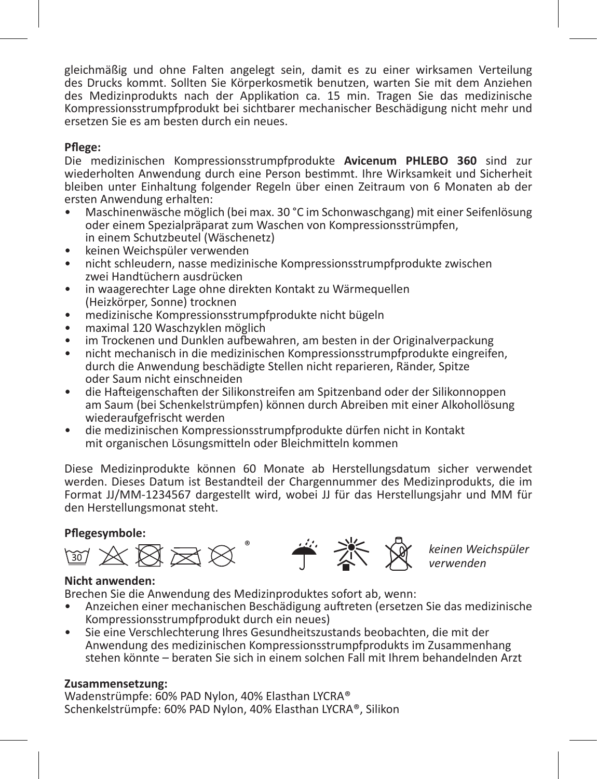gleichmäßig und ohne Falten angelegt sein, damit es zu einer wirksamen Verteilung des Drucks kommt. Sollten Sie Körperkosmetik benutzen, warten Sie mit dem Anziehen des Medizinprodukts nach der Applikation ca. 15 min. Tragen Sie das medizinische Kompressionsstrumpfprodukt bei sichtbarer mechanischer Beschädigung nicht mehr und ersetzen Sie es am hesten durch ein neues.

### **Pflege:**

Die medizinischen Kompressionsstrumpfprodukte **Avicenum PHLEBO 360** sind zur wiederholten Anwendung durch eine Person bestimmt. Ihre Wirksamkeit und Sicherheit bleiben unter Einhaltung folgender Regeln über einen Zeitraum von 6 Monaten ab der ersten Anwendung erhalten:

- Maschinenwäsche möglich (bei max. 30 °C im Schonwaschgang) mit einer Seifenlösung oder einem Spezialpräparat zum Waschen von Kompressionsstrümpfen, in einem Schutzbeutel (Wäschenetz)
- keinen Weichspüler verwenden
- nicht schleudern, nasse medizinische Kompressionsstrumpfprodukte zwischen zwei Handtüchern ausdrücken
- in waagerechter Lage ohne direkten Kontakt zu Wärmequellen (Heizkörper, Sonne) trocknen
- medizinische Kompressionsstrumpfprodukte nicht bügeln
- maximal 120 Waschzyklen möglich
- im Trockenen und Dunklen aufbewahren, am besten in der Originalverpackung
- nicht mechanisch in die medizinischen Kompressionsstrumpfprodukte eingreifen, durch die Anwendung beschädigte Stellen nicht reparieren, Ränder, Spitze oder Saum nicht einschneiden
- die Hafteigenschaften der Silikonstreifen am Spitzenband oder der Silikonnoppen am Saum (bei Schenkelstrümpfen) können durch Abreiben mit einer Alkohollösung wiederaufgefrischt werden
- die medizinischen Kompressionsstrumpfprodukte dürfen nicht in Kontakt mit organischen Lösungsmitteln oder Bleichmitteln kommen

Diese Medizinprodukte können 60 Monate ab Herstellungsdatum sicher verwendet werden. Dieses Datum ist Bestandteil der Chargennummer des Medizinprodukts, die im Format JJ/MM-1234567 dargestellt wird, wobei JJ für das Herstellungsjahr und MM für den Herstellungsmonat steht.

### **Pflegesymbole:**



*keinen Weichspüler verwenden*

#### **Nicht anwenden:**

Brechen Sie die Anwendung des Medizinproduktes sofort ab, wenn:

- Anzeichen einer mechanischen Beschädigung auftreten (ersetzen Sie das medizinische<br>Kompressionsstrumpfprodukt durch ein neues)
- Sie eine Verschlechterung Ihres Gesundheitszustands beobachten, die mit der Anwendung des medizinischen Kompressionsstrumpfprodukts im Zusammenhang stehen könnte – beraten Sie sich in einem solchen Fall mit Ihrem behandelnden Arzt

#### **Zusammensetzung:**

Wadenstrümpfe: 60% PAD Nylon, 40% Elasthan LYCRA® Schenkelstrümpfe: 60% PAD Nylon, 40% Elasthan LYCRA®, Silikon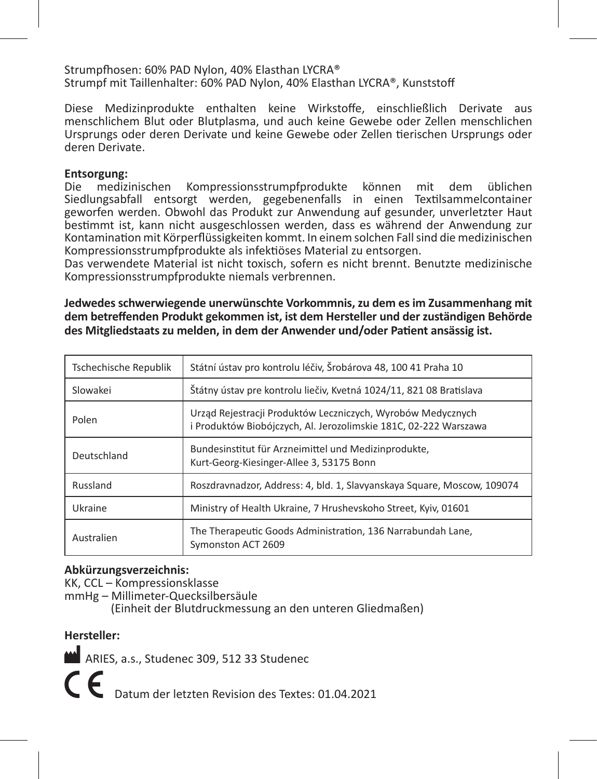Strumpfhosen: 60% PAD Nylon, 40% Elasthan LYCRA® Strumpf mit Taillenhalter: 60% PAD Nylon, 40% Elasthan LYCRA®, Kunststoff

Diese Medizinprodukte enthalten keine Wirkstoffe, einschließlich Derivate aus menschlichem Blut oder Blutplasma, und auch keine Gewebe oder Zellen menschlichen Ursprungs oder deren Derivate und keine Gewebe oder Zellen tierischen Ursprungs oder deren Derivate.

# **Entsorgung:**

Die medizinischen Kompressionsstrumpfprodukte können mit dem üblichen Siedlungsabfall entsorgt werden, gegebenenfalls in einen Textilsammelcontainer geworfen werden. Obwohl das Produkt zur Anwendung auf gesunder, unverletzter Haut bestimmt ist, kann nicht ausgeschlossen werden, dass es während der Anwendung zur Kontamination mit Körperflüssigkeiten kommt. In einem solchen Fall sind die medizinischen Kompressionsstrumpfprodukte als infektiöses Material zu entsorgen.

Das verwendete Material ist nicht toxisch, sofern es nicht brennt. Benutzte medizinische Kompressionsstrumpfprodukte niemals verbrennen.

**Jedwedes schwerwiegende unerwünschte Vorkommnis, zu dem es im Zusammenhang mit dem betreffenden Produkt gekommen ist, ist dem Hersteller und der zuständigen Behörde des Mitgliedstaats zu melden, in dem der Anwender und/oder Patient ansässig ist.** 

| Tschechische Republik | Státní ústav pro kontrolu léčiv. Šrobárova 48. 100 41 Praha 10                                                                  |
|-----------------------|---------------------------------------------------------------------------------------------------------------------------------|
| Slowakei              | Štátny ústav pre kontrolu liečiv, Kvetná 1024/11, 821 08 Bratislava                                                             |
| Polen                 | Urząd Rejestracji Produktów Leczniczych, Wyrobów Medycznych<br>i Produktów Biobóiczych, Al. Jerozolimskie 181C, 02-222 Warszawa |
| Deutschland           | Bundesinstitut für Arzneimittel und Medizinprodukte,<br>Kurt-Georg-Kiesinger-Allee 3, 53175 Bonn                                |
| Russland              | Roszdravnadzor, Address: 4, bld. 1, Slavyanskaya Square, Moscow, 109074                                                         |
| Ukraine               | Ministry of Health Ukraine, 7 Hrushevskoho Street, Kyiv, 01601                                                                  |
| Australien            | The Therapeutic Goods Administration, 136 Narrabundah Lane,<br>Symonston ACT 2609                                               |

#### **Abkürzungsverzeichnis:**

KK, CCL – Kompressionsklasse

mmHg – Millimeter-Quecksilbersäule

(Einheit der Blutdruckmessung an den unteren Gliedmaßen)

### **Hersteller:**

ARIES, a.s., Studenec 309, 512 33 Studenec

Datum der letzten Revision des Textes: 01.04.2021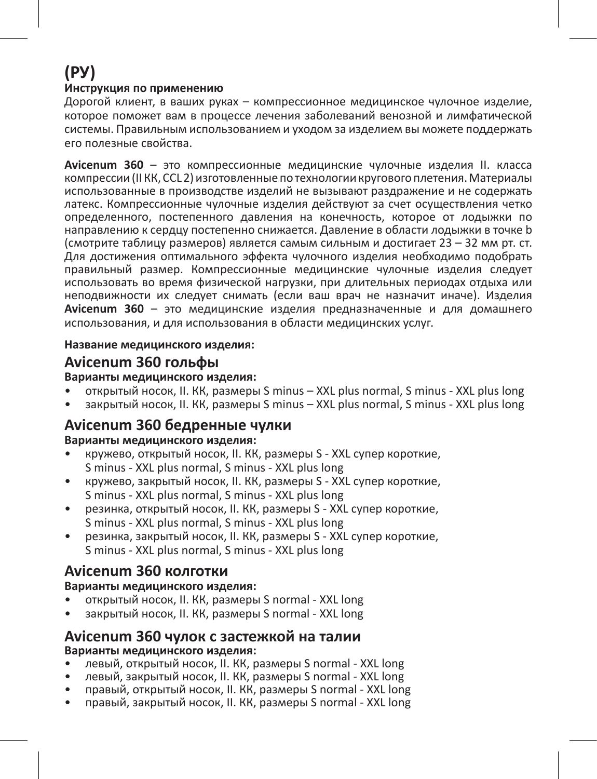# **(РУ)**

#### **Инструкция по применению**

Дорогой клиент, в ваших руках – компрессионное медицинское чулочное изделие, которое поможет вам в процессе лечения заболеваний венозной и лимфатической системы. Правильным использованием и уходом за изделием вы можете поддержать его полезные свойства.

**Avicenum 360** – это компрессионные медицинские чулочные изделия II. класса компрессии (II КК, CCL 2) изготовленные по технологии кругового плетения. Материалы использованные в производстве изделий не вызывают раздражение и не содержать латекс. Компрессионные чулочные изделия действуют за счет осуществления четко определенного, постепенного давления на конечность, которое от лодыжки по направлению к сердцу постепенно снижается. Давление в области лодыжки в точке b (смотрите таблицу размеров) является самым сильным и достигает 23 – 32 мм рт. ст. Для достижения оптимального эффекта чулочного изделия необходимо подобрать правильный размер. Компрессионные медицинские чулочные изделия следует использовать во время физической нагрузки, при длительных периодах отдыха или неподвижности их следует снимать (если ваш врач не назначит иначе). Изделия **Avicenum 360** – это медицинские изделия предназначенные и для домашнего использования, и для использования в области медицинских услуг.

### **Название медицинского изделия:**

### **Avicenum 360 гольфы**

### **Варианты медицинского изделия:**

- открытый носок, II. КК, размеры S minus XXL plus normal, S minus XXL plus long
- закрытый носок, II. КК, размеры S minus XXL plus normal, S minus XXL plus long

### **Avicenum 360 бедренные чулки**

### **Варианты медицинского изделия:**

- кружево, открытый носок, II. КК, размеры S XXL супер короткие, S minus - XXL plus normal, S minus - XXL plus long
- кружево, закрытый носок, II. КК, размеры S XXL супер короткие, S minus - XXL plus normal, S minus - XXL plus long
- резинка, открытый носок, II. КК, размеры S XXL супер короткие, S minus - XXL plus normal, S minus - XXL plus long
- резинка, закрытый носок, II. КК, размеры S XXL супер короткие, S minus - XXL plus normal, S minus - XXL plus long

### **Avicenum 360 колготки**

### **Варианты медицинского изделия:**

- открытый носок, II. КК, размеры S normal XXL long
- закрытый носок, II. КК, размеры S normal XXL long

### **Avicenum 360 чулок с застежкой на талии Варианты медицинского изделия:**

- левый, открытый носок, II. КК, размеры S normal XXL long
- левый, закрытый носок, II. КК, размеры S normal XXL long
- правый, открытый носок, II. КК, размеры S normal XXL long
- правый, закрытый носок, II. КК, размеры S normal XXL long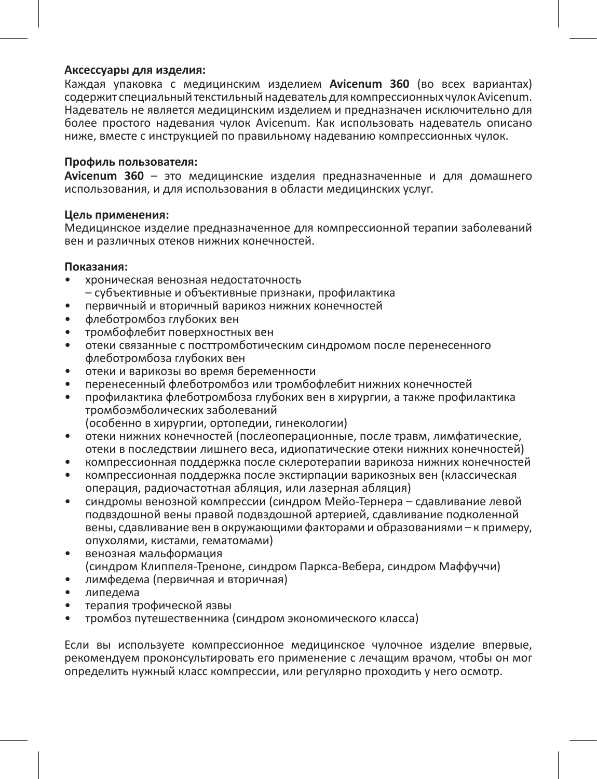#### **Аксессуары для изделия:**

Каждая упаковка с медицинским изделием **Avicenum 360** (во всех вариантах) содержит специальный текстильный надеватель для компрессионных чулок Avicenum. Надеватель не является медицинским изделием и предназначен исключительно для более простого надевания чулок Avicenum. Как использовать надеватель описано ниже, вместе с инструкцией по правильному надеванию компрессионных чулок.

### **Профиль пользователя:**

**Avicenum 360** – это медицинские изделия предназначенные и для домашнего использования, и для использования в области медицинских услуг.

#### **Цель применения:**

Медицинское изделие предназначенное для компрессионной терапии заболеваний вен и различных отеков нижних конечностей.

#### **Показания:**

- хроническая венозная недостаточность – субъективные и объективные признаки, профилактика
- первичный и вторичный варикоз нижних конечностей
- флеботромбоз глубоких вен
- тромбофлебит поверхностных вен
- отеки связанные с посттромботическим синдромом после перенесенного флеботромбоза глубоких вен
- отеки и варикозы во время беременности
- перенесенный флеботромбоз или тромбофлебит нижних конечностей
- профилактика флеботромбоза глубоких вен в хирургии, а также профилактика тромбоэмболических заболеваний
	- (особенно в хирургии, ортопедии, гинекологии)
- отеки нижних конечностей (послеоперационные, после травм, лимфатические, отеки в последствии лишнего веса, идиопатические отеки нижних конечностей)
- компрессионная поддержка после склеротерапии варикоза нижних конечностей
- компрессионная поддержка после экстирпации варикозных вен (классическая операция, радиочастотная абляция, или лазерная абляция)
- синдромы венозной компрессии (синдром Мейо-Тернера сдавливание левой подвздошной вены правой подвздошной артерией, сдавливание подколенной вены, сдавливание вен в окружающими факторами и образованиями – к примеру, опухолями, кистами, гематомами)
- венозная мальформация (синдром Клиппеля-Треноне, синдром Паркса-Вебера, синдром Маффуччи)
- лимфедема (первичная и вторичная)
- липедема
- терапия трофической язвы
- тромбоз путешественника (синдром экономического класса)

Если вы используете компрессионное медицинское чулочное изделие впервые, рекомендуем проконсультировать его применение с лечащим врачом, чтобы он мог определить нужный класс компрессии, или регулярно проходить у него осмотр.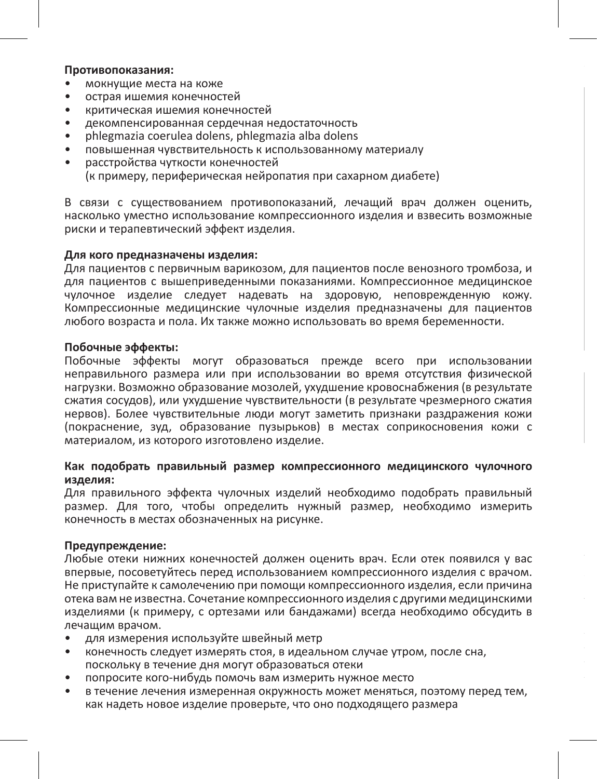#### **Противопоказания:**

- мокнущие места на коже
- острая ишемия конечностей
- критическая ишемия конечностей
- декомпенсированная сердечная недостаточность
- phlegmazia coerulea dolens, phlegmazia alba dolens
- повышенная чувствительность к использованному материалу
- расстройства чуткости конечностей (к примеру, периферическая нейропатия при сахарном диабете)

В связи с существованием противопоказаний, лечащий врач должен оценить, насколько уместно использование компрессионного изделия и взвесить возможные риски и терапевтический эффект изделия.

### **Для кого предназначены изделия:**

Для пациентов с первичным варикозом, для пациентов после венозного тромбоза, и для пациентов с вышеприведенными показаниями. Компрессионное медицинское чулочное изделие следует надевать на здоровую, неповрежденную кожу. Компрессионные медицинские чулочные изделия предназначены для пациентов любого возраста и пола. Их также можно использовать во время беременности.

#### **Побочные эффекты:**

Побочные эффекты могут образоваться прежде всего при использовании неправильного размера или при использовании во время отсутствия физической нагрузки. Возможно образование мозолей, ухудшение кровоснабжения (в результате сжатия сосудов), или ухудшение чувствительности (в результате чрезмерного сжатия нервов). Более чувствительные люди могут заметить признаки раздражения кожи (покраснение, зуд, образование пузырьков) в местах соприкосновения кожи с материалом, из которого изготовлено изделие.

### **Как подобрать правильный размер компрессионного медицинского чулочного изделия:**

Для правильного эффекта чулочных изделий необходимо подобрать правильный размер. Для того, чтобы определить нужный размер, необходимо измерить конечность в местах обозначенных на рисунке.

#### **Предупреждение:**

Любые отеки нижних конечностей должен оценить врач. Если отек появился у вас впервые, посоветуйтесь перед использованием компрессионного изделия с врачом. Не приступайте к самолечению при помощи компрессионного изделия, если причина отека вам не известна. Сочетание компрессионного изделия с другими медицинскими изделиями (к примеру, с ортезами или бандажами) всегда необходимо обсудить в лечащим врачом.

- для измерения используйте швейный метр
- конечность следует измерять стоя, в идеальном случае утром, после сна, поскольку в течение дня могут образоваться отеки
- попросите кого-нибудь помочь вам измерить нужное место
- в течение лечения измеренная окружность может меняться, поэтому перед тем, как надеть новое изделие проверьте, что оно подходящего размера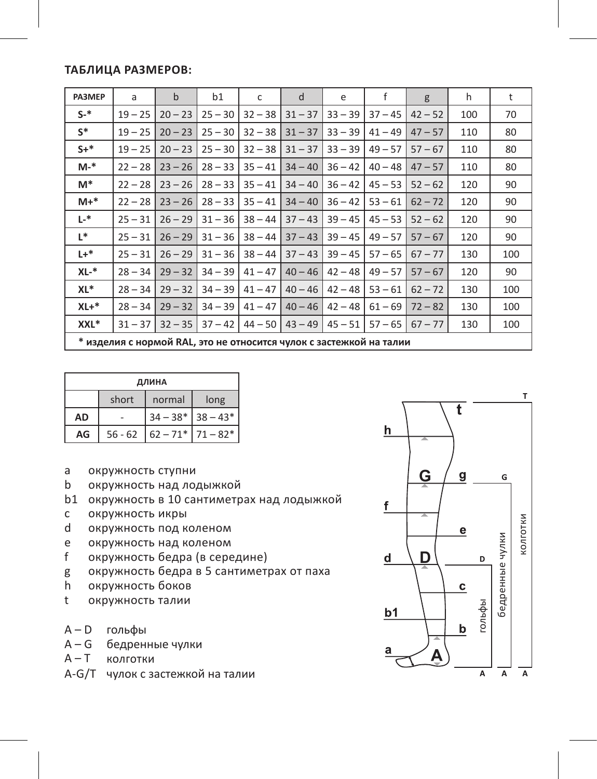### **Таблица размеров:**

| PA3MEP  | a                                                                   | $\mathbf b$ | b1        | c         | d         | e         | f         | g         | h   | t   |
|---------|---------------------------------------------------------------------|-------------|-----------|-----------|-----------|-----------|-----------|-----------|-----|-----|
| $S-$ *  | $19 - 25$                                                           | $20 - 23$   | $25 - 30$ | $32 - 38$ | $31 - 37$ | $33 - 39$ | $37 - 45$ | $42 - 52$ | 100 | 70  |
| $S^*$   | $19 - 25$                                                           | $20 - 23$   | $25 - 30$ | $32 - 38$ | $31 - 37$ | $33 - 39$ | $41 - 49$ | $47 - 57$ | 110 | 80  |
| $S+^*$  | $19 - 25$                                                           | $20 - 23$   | $25 - 30$ | $32 - 38$ | $31 - 37$ | $33 - 39$ | $49 - 57$ | $57 - 67$ | 110 | 80  |
| $M-$ *  | $22 - 28$                                                           | $23 - 26$   | $28 - 33$ | $35 - 41$ | $34 - 40$ | $36 - 42$ | $40 - 48$ | $47 - 57$ | 110 | 80  |
| M*      | $22 - 28$                                                           | $23 - 26$   | $28 - 33$ | $35 - 41$ | $34 - 40$ | $36 - 42$ | $45 - 53$ | $52 - 62$ | 120 | 90  |
| $M+*$   | $22 - 28$                                                           | $23 - 26$   | $28 - 33$ | $35 - 41$ | $34 - 40$ | $36 - 42$ | $53 - 61$ | $62 - 72$ | 120 | 90  |
| L-*     | $25 - 31$                                                           | $26 - 29$   | $31 - 36$ | $38 - 44$ | $37 - 43$ | $39 - 45$ | $45 - 53$ | $52 - 62$ | 120 | 90  |
| $L^*$   | $25 - 31$                                                           | $26 - 29$   | $31 - 36$ | $38 - 44$ | $37 - 43$ | $39 - 45$ | $49 - 57$ | $57 - 67$ | 120 | 90  |
| $L +$ * | $25 - 31$                                                           | $26 - 29$   | $31 - 36$ | $38 - 44$ | $37 - 43$ | $39 - 45$ | $57 - 65$ | $67 - 77$ | 130 | 100 |
| XL-*    | $28 - 34$                                                           | $29 - 32$   | $34 - 39$ | $41 - 47$ | $40 - 46$ | $42 - 48$ | $49 - 57$ | $57 - 67$ | 120 | 90  |
| XL*     | $28 - 34$                                                           | $29 - 32$   | $34 - 39$ | $41 - 47$ | $40 - 46$ | $42 - 48$ | $53 - 61$ | $62 - 72$ | 130 | 100 |
| $XL+*$  | $28 - 34$                                                           | $29 - 32$   | $34 - 39$ | $41 - 47$ | $40 - 46$ | $42 - 48$ | $61 - 69$ | $72 - 82$ | 130 | 100 |
| XXL*    | $31 - 37$                                                           | $32 - 35$   | $37 - 42$ | $44 - 50$ | $43 - 49$ | $45 - 51$ | $57 - 65$ | $67 - 77$ | 130 | 100 |
|         | * изделия с нормой RAL, это не относится чулок с застежкой на талии |             |           |           |           |           |           |           |     |     |

| ДЛИНА     |           |                     |                         |  |  |  |  |
|-----------|-----------|---------------------|-------------------------|--|--|--|--|
|           | short     | normal              | long                    |  |  |  |  |
| <b>AD</b> |           | $34 - 38*$ 38 - 43* |                         |  |  |  |  |
| AG        | $56 - 62$ |                     | $62 - 71$ * $71 - 82$ * |  |  |  |  |

- a окружность ступни
- b окружность над лодыжкой
- b1 окружность в 10 сантиметрах над лодыжкой
- c окружность икры
- d окружность под коленом
- e окружность над коленом<br>f окружность белра (в сере
- f окружность бедра (в середине)
- g окружность бедра в 5 сантиметрах от паха<br>h окружность боков
- окружность боков
- t окружность талии
- A D гольфы
- A G бедренные чулки
- **колготки**
- A-G/T чулок с застежкой на талии

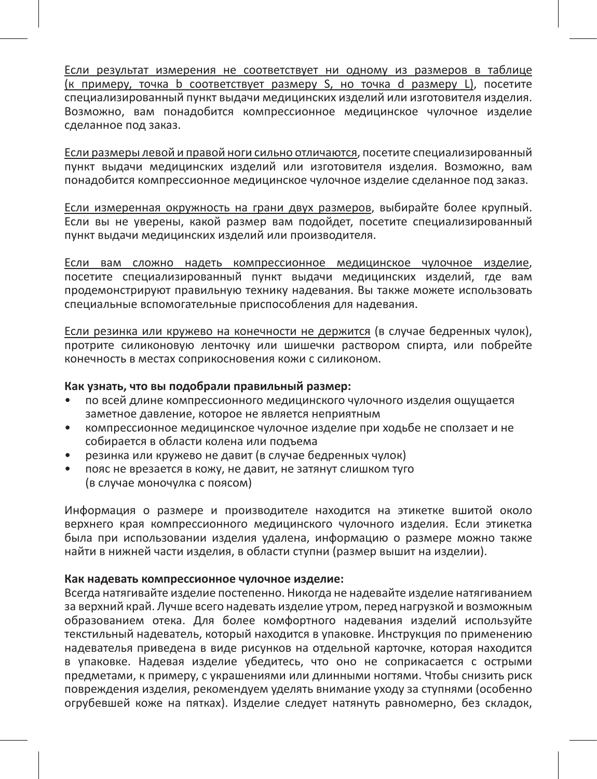Если результат измерения не соответствует ни одному из размеров в таблице (к примеру, точка b соответствует размеру S, но точка d размеру L), посетите специализированный пункт выдачи медицинских изделий или изготовителя изделия. Возможно, вам понадобится компрессионное медицинское чулочное изделие сделанное под заказ.

Если размеры левой и правой ноги сильно отличаются, посетите специализированный пункт выдачи медицинских изделий или изготовителя изделия. Возможно, вам понадобится компрессионное медицинское чулочное изделие сделанное под заказ.

Если измеренная окружность на грани двух размеров, выбирайте более крупный. Если вы не уверены, какой размер вам подойдет, посетите специализированный пункт выдачи медицинских изделий или производителя.

Если вам сложно надеть компрессионное медицинское чулочное изделие, посетите специализированный пункт выдачи медицинских изделий, где вам продемонстрируют правильную технику надевания. Вы также можете использовать специальные вспомогательные приспособления для надевания.

Если резинка или кружево на конечности не держится (в случае бедренных чулок), протрите силиконовую ленточку или шишечки раствором спирта, или побрейте конечность в местах соприкосновения кожи с силиконом.

#### **Как узнать, что вы подобрали правильный размер:**

- по всей длине компрессионного медицинского чулочного изделия ощущается заметное давление, которое не является неприятным
- компрессионное медицинское чулочное изделие при ходьбе не сползает и не собирается в области колена или подъема
- резинка или кружево не давит (в случае бедренных чулок)
- пояс не врезается в кожу, не давит, не затянут слишком туго (в случае моночулка с поясом)

Информация о размере и производителе находится на этикетке вшитой около верхнего края компрессионного медицинского чулочного изделия. Если этикетка была при использовании изделия удалена, информацию о размере можно также найти в нижней части изделия, в области ступни (размер вышит на изделии).

#### **Как надевать компрессионное чулочное изделие:**

Всегда натягивайте изделие постепенно. Никогда не надевайте изделие натягиванием за верхний край. Лучше всего надевать изделие утром, перед нагрузкой и возможным образованием отека. Для более комфортного надевания изделий используйте текстильный надеватель, который находится в упаковке. Инструкция по применению надевателья приведена в виде рисунков на отдельной карточке, которая находится в упаковке. Надевая изделие убедитесь, что оно не соприкасается с острыми предметами, к примеру, с украшениями или длинными ногтями. Чтобы снизить риск повреждения изделия, рекомендуем уделять внимание уходу за ступнями (особенно огрубевшей коже на пятках). Изделие следует натянуть равномерно, без складок,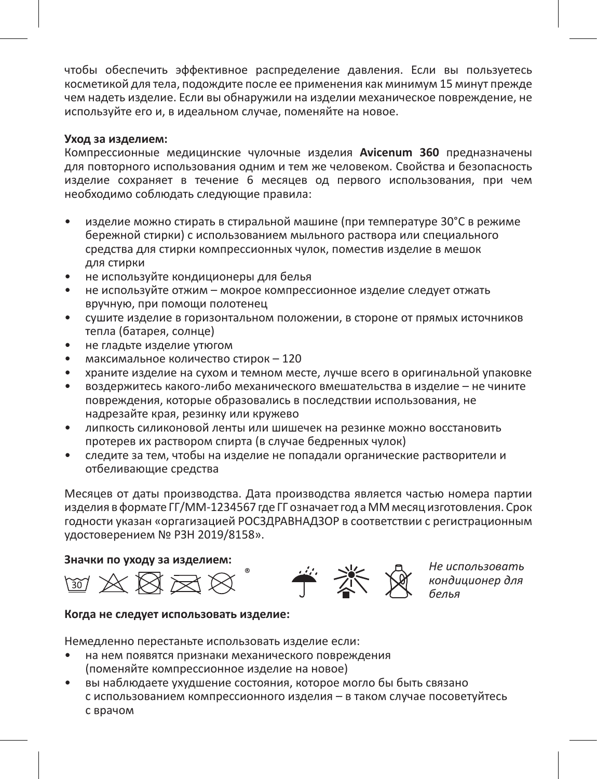чтобы обеспечить эффективное распределение давления. Если вы пользуетесь косметикой для тела, подождите после ее применения как минимум 15 минут прежде чем надеть изделие. Если вы обнаружили на изделии механическое повреждение, не используйте его и, в идеальном случае, поменяйте на новое.

### **Уход за изделием:**

Компрессионные медицинские чулочные изделия **Avicenum 360** предназначены для повторного использования одним и тем же человеком. Свойства и безопасность изделие сохраняет в течение 6 месяцев од первого использования, при чем необходимо соблюдать следующие правила:

- изделие можно стирать в стиральной машине (при температуре 30°C в режиме бережной стирки) с использованием мыльного раствора или специального средства для стирки компрессионных чулок, поместив изделие в мешок для стирки
- не используйте кондиционеры для белья
- не используйте отжим мокрое компрессионное изделие следует отжать вручную, при помощи полотенец
- сушите изделие в горизонтальном положении, в стороне от прямых источников тепла (батарея, солнце)
- не гладьте изделие утюгом
- максимальное количество стирок 120
- храните изделие на сухом и темном месте, лучше всего в оригинальной упаковке
- воздержитесь какого-либо механического вмешательства в изделие не чините повреждения, которые образовались в последствии использования, не надрезайте края, резинку или кружево
- липкость силиконовой ленты или шишечек на резинке можно восстановить протерев их раствором спирта (в случае бедренных чулок)
- следите за тем, чтобы на изделие не попадали органические растворители и отбеливающие средства

Месяцев от даты производства. Дата производства является частью номера партии изделия в формате ГГ/ММ-1234567 где ГГ означает год а ММ месяц изготовления. Срок годности указан «оргагизацией РОСЗДРАВНАДЗОР в соответствии с регистрационным удостоверением № РЗН 2019/8158».

**Значки по уходу за изделием:**  $\widetilde{\mathcal{B}}$  **A** *He использовать*<br>  $\widetilde{\mathcal{B}}$  **A**  $\widetilde{\mathcal{B}}$   $\widetilde{\mathcal{B}}$  **A** *K*  $\widetilde{\mathcal{B}}$  *M <i>K K*  $\widetilde{\mathcal{B}}$  *M <i>K K*  $\widetilde{\mathcal{B}}$  *K M <i>K K K* 



*кондиционер для белья*

#### **Когда не следует использовать изделие:**

Немедленно перестаньте использовать изделие если:

- на нем появятся признаки механического повреждения (поменяйте компрессионное изделие на новое)
- вы наблюдаете ухудшение состояния, которое могло бы быть связано с использованием компрессионного изделия – в таком случае посоветуйтесь с врачом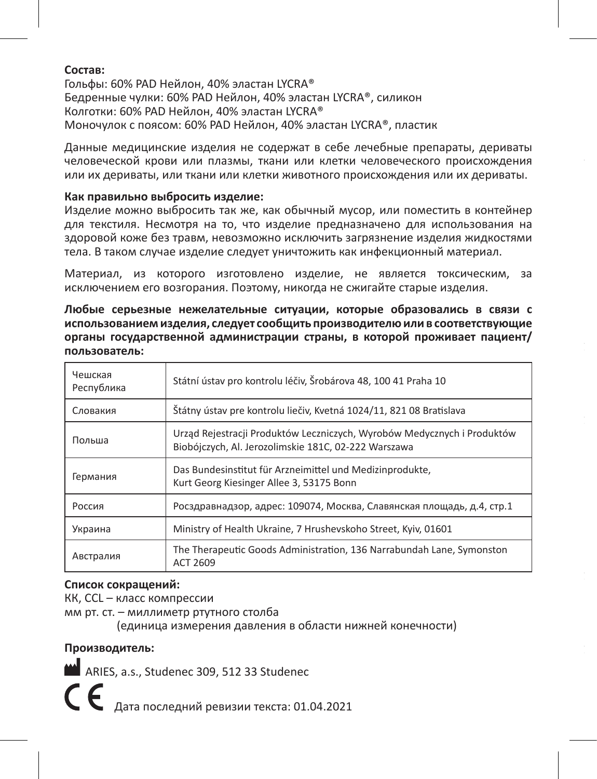### **Состав:**

Гольфы: 60% PAD Нейлон, 40% эластан LYCRA® Бедренные чулки: 60% PAD Нейлон, 40% эластан LYCRA®, силикон Колготки: 60% PAD Нейлон, 40% эластан LYCRA® Моночулок с поясом: 60% PAD Нейлон, 40% эластан LYCRA®, пластик

Данные медицинские изделия не содержат в себе лечебные препараты, дериваты человеческой крови или плазмы, ткани или клетки человеческого происхождения или их дериваты, или ткани или клетки животного происхождения или их дериваты.

### **Как правильно выбросить изделие:**

Изделие можно выбросить так же, как обычный мусор, или поместить в контейнер для текстиля. Несмотря на то, что изделие предназначено для использования на здоровой коже без травм, невозможно исключить загрязнение изделия жидкостями тела. В таком случае изделие следует уничтожить как инфекционный материал.

Материал, из которого изготовлено изделие, не является токсическим, за исключением его возгорания. Поэтому, никогда не сжигайте старые изделия.

**Любые серьезные нежелательные ситуации, которые образовались в связи с использованием изделия, следует сообщить производителю или в соответствующие органы государственной администрации страны, в которой проживает пациент/ пользователь:**

| Чешская<br>Республика | Státní ústav pro kontrolu léčiv, Šrobárova 48, 100 41 Praha 10                                                                  |
|-----------------------|---------------------------------------------------------------------------------------------------------------------------------|
| Словакия              | Štátny ústav pre kontrolu liečiv, Kvetná 1024/11, 821 08 Bratislava                                                             |
| Польша                | Urząd Rejestracji Produktów Leczniczych, Wyrobów Medycznych i Produktów<br>Biobójczych, Al. Jerozolimskie 181C, 02-222 Warszawa |
| Германия              | Das Bundesinstitut für Arzneimittel und Medizinprodukte,<br>Kurt Georg Kiesinger Allee 3, 53175 Bonn                            |
| Россия                | Росздравнадзор, адрес: 109074, Москва, Славянская площадь, д.4, стр.1                                                           |
| Украина               | Ministry of Health Ukraine, 7 Hrushevskoho Street, Kyiv, 01601                                                                  |
| Австралия             | The Therapeutic Goods Administration, 136 Narrabundah Lane, Symonston<br>ACT 2609                                               |

### **Список сокращений:**

КК, CCL – класс компрессии

мм рт. ст. – миллиметр ртутного столба

(единица измерения давления в области нижней конечности)

### **Производитель:**

ARIES, a.s., Studenec 309, 512 33 Studenec  $\boldsymbol{\epsilon}$   $\boldsymbol{\epsilon}$  дата последний ревизии текста: 01.04.2021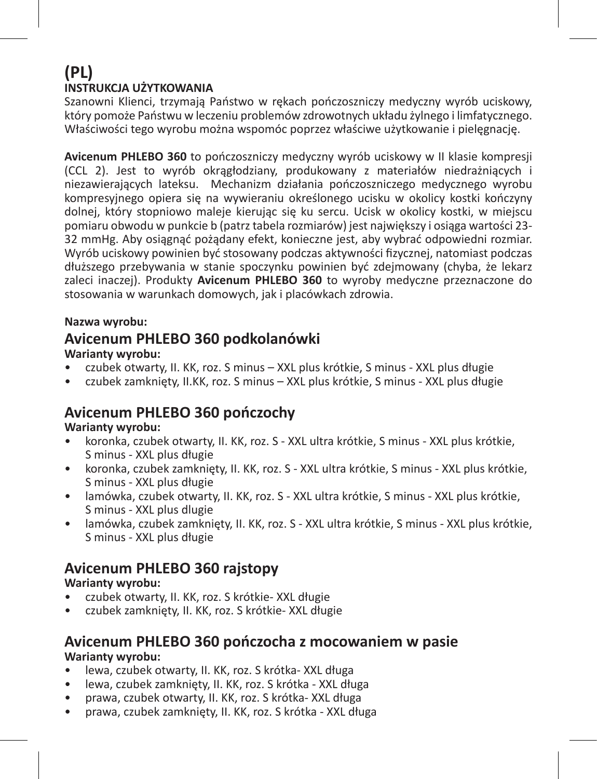### **(PL) INSTRUKCJA UŻYTKOWANIA**

Szanowni Klienci, trzymają Państwo w rękach pończoszniczy medyczny wyrób uciskowy, który pomoże Państwu w leczeniu problemów zdrowotnych układu żylnego i limfatycznego. Właściwości tego wyrobu można wspomóc poprzez właściwe użytkowanie i pielęgnację.

**Avicenum PHLEBO 360** to pończoszniczy medyczny wyrób uciskowy w II klasie kompresji (CCL 2). Jest to wyrób okrągłodziany, produkowany z materiałów niedrażniących i niezawierających lateksu. Mechanizm działania pończoszniczego medycznego wyrobu kompresyjnego opiera się na wywieraniu określonego ucisku w okolicy kostki kończyny dolnej, który stopniowo maleje kierując się ku sercu. Ucisk w okolicy kostki, w miejscu pomiaru obwodu w punkcie b (patrz tabela rozmiarów) jest największy i osiąga wartości 23- 32 mmHg. Aby osiągnąć pożądany efekt, konieczne jest, aby wybrać odpowiedni rozmiar. Wyrób uciskowy powinien być stosowany podczas aktywności fizycznej, natomiast podczas dłuższego przebywania w stanie spoczynku powinien być zdejmowany (chyba, że lekarz zaleci inaczej). Produkty **Avicenum PHLEBO 360** to wyroby medyczne przeznaczone do stosowania w warunkach domowych, jak i placówkach zdrowia.

### **Nazwa wyrobu:**

### **Avicenum PHLEBO 360 podkolanówki**

### **Warianty wyrobu:**

- czubek otwarty, II. KK, roz. S minus XXL plus krótkie, S minus XXL plus długie
- czubek zamknięty, II.KK, roz. S minus XXL plus krótkie, S minus XXL plus długie

### **Avicenum PHLEBO 360 pończochy**

### **Warianty wyrobu:**

- koronka, czubek otwarty, II. KK, roz. S XXL ultra krótkie, S minus XXL plus krótkie, S minus - XXL plus długie
- koronka, czubek zamknięty, II. KK, roz. S XXL ultra krótkie, S minus XXL plus krótkie, S minus - XXL plus długie
- lamówka, czubek otwarty, II. KK, roz. S XXL ultra krótkie, S minus XXL plus krótkie, S minus - XXL plus dlugie
- lamówka, czubek zamknięty, II. KK, roz. S XXL ultra krótkie, S minus XXL plus krótkie, S minus - XXL plus długie

### **Avicenum PHLEBO 360 rajstopy**

### **Warianty wyrobu:**

- czubek otwarty, II. KK, roz. S krótkie- XXL długie
- czubek zamknięty, II. KK, roz. S krótkie- XXL długie

### **Avicenum PHLEBO 360 pończocha z mocowaniem w pasie Warianty wyrobu:**

- lewa, czubek otwarty, II. KK, roz. S krótka- XXL długa
- lewa, czubek zamknięty, II. KK, roz. S krótka XXL długa
- prawa, czubek otwarty, II. KK, roz. S krótka- XXL długa
- prawa, czubek zamknięty, II. KK, roz. S krótka XXL długa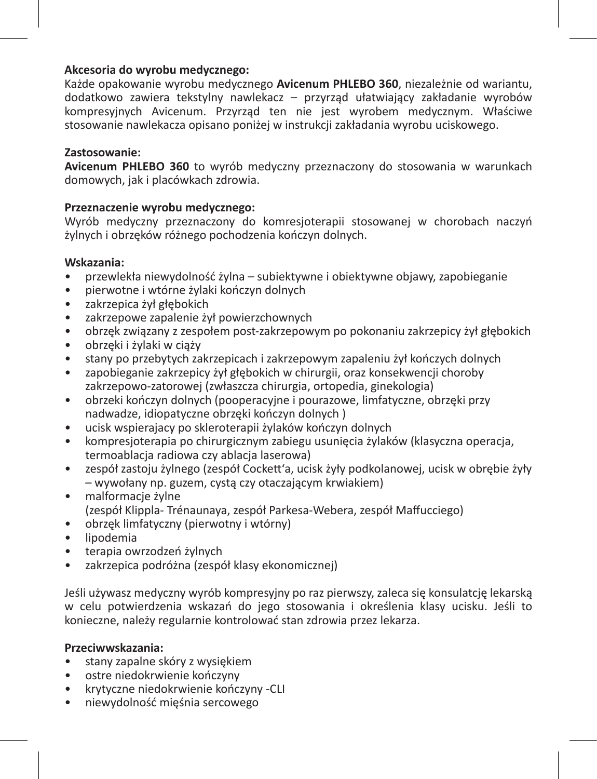### **Akcesoria do wyrobu medycznego:**

Każde opakowanie wyrobu medycznego **Avicenum PHLEBO 360**, niezależnie od wariantu, dodatkowo zawiera tekstylny nawlekacz – przyrząd ułatwiający zakładanie wyrobów kompresyjnych Avicenum. Przyrząd ten nie jest wyrobem medycznym. Właściwe stosowanie nawlekacza opisano poniżej w instrukcji zakładania wyrobu uciskowego.

### **Zastosowanie:**

**Avicenum PHLEBO 360** to wyrób medyczny przeznaczony do stosowania w warunkach domowych, jak i placówkach zdrowia.

### **Przeznaczenie wyrobu medycznego:**

Wyrób medyczny przeznaczony do komresjoterapii stosowanej w chorobach naczyń żylnych i obrzęków różnego pochodzenia kończyn dolnych.

### **Wskazania:**

- przewlekła niewydolność żylna subiektywne i obiektywne objawy, zapobieganie
- pierwotne i wtórne żylaki kończyn dolnych
- zakrzepica żył głębokich
- zakrzepowe zapalenie żył powierzchownych
- obrzęk związany z zespołem post-zakrzepowym po pokonaniu zakrzepicy żył głębokich
- obrzęki i żylaki w ciąży
- stany po przebytych zakrzepicach i zakrzepowym zapaleniu żył kończych dolnych
- zapobieganie zakrzepicy żył głębokich w chirurgii, oraz konsekwencji choroby zakrzepowo-zatorowej (zwłaszcza chirurgia, ortopedia, ginekologia)
- obrzeki kończyn dolnych (pooperacyjne i pourazowe, limfatyczne, obrzęki przy nadwadze, idiopatyczne obrzęki kończyn dolnych )
- ucisk wspierajacy po skleroterapii żylaków kończyn dolnych
- kompresjoterapia po chirurgicznym zabiegu usunięcia żylaków (klasyczna operacja, termoablacja radiowa czy ablacja laserowa)
- zespół zastoju żylnego (zespół Cockett'a, ucisk żyły podkolanowej, ucisk w obrębie żyły – wywołany np. guzem, cystą czy otaczającym krwiakiem)
- malformacje żylne (zespół Klippla- Trénaunaya, zespół Parkesa-Webera, zespół Maffucciego)
- obrzęk limfatyczny (pierwotny i wtórny)
- lipodemia
- terapia owrzodzeń żylnych
- zakrzepica podróżna (zespół klasy ekonomicznej)

Jeśli używasz medyczny wyrób kompresyjny po raz pierwszy, zaleca się konsulatcję lekarską w celu potwierdzenia wskazań do jego stosowania i określenia klasy ucisku. Jeśli to konieczne, należy regularnie kontrolować stan zdrowia przez lekarza.

### **Przeciwwskazania:**

- stany zapalne skóry z wysiękiem
- ostre niedokrwienie kończyny
- krytyczne niedokrwienie kończyny -CLI
- niewydolność mięśnia sercowego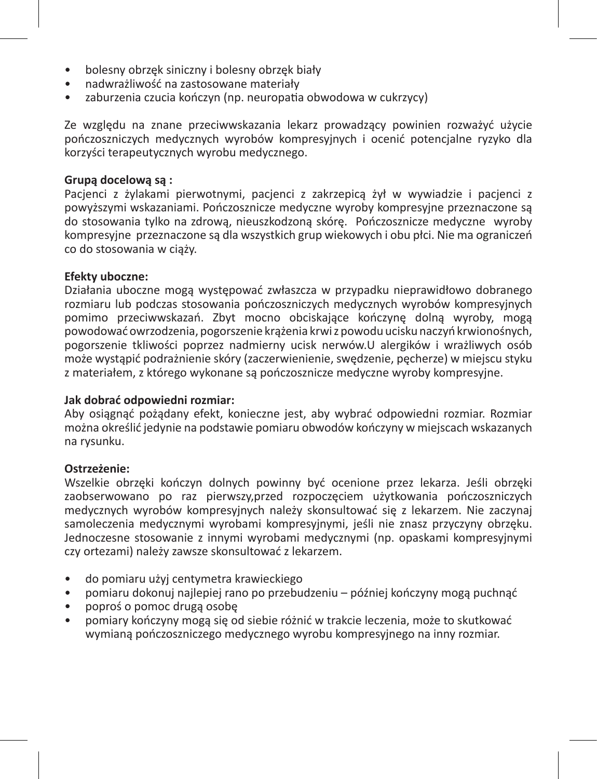- bolesny obrzęk siniczny i bolesny obrzęk biały
- nadwrażliwość na zastosowane materiały
- zaburzenia czucia kończyn (np. neuropatia obwodowa w cukrzycy)

Ze względu na znane przeciwwskazania lekarz prowadzący powinien rozważyć użycie pończoszniczych medycznych wyrobów kompresyjnych i ocenić potencjalne ryzyko dla korzyści terapeutycznych wyrobu medycznego.

### **Grupą docelową są :**

Pacjenci z żylakami pierwotnymi, pacjenci z zakrzepicą żył w wywiadzie i pacjenci z powyższymi wskazaniami. Pończosznicze medyczne wyroby kompresyjne przeznaczone są do stosowania tylko na zdrową, nieuszkodzoną skórę. Pończosznicze medyczne wyroby kompresyjne przeznaczone są dla wszystkich grup wiekowych i obu płci. Nie ma ograniczeń co do stosowania w ciąży.

### **Efekty uboczne:**

Działania uboczne mogą występować zwłaszcza w przypadku nieprawidłowo dobranego rozmiaru lub podczas stosowania pończoszniczych medycznych wyrobów kompresyjnych pomimo przeciwwskazań. Zbyt mocno obciskające kończynę dolną wyroby, mogą powodować owrzodzenia, pogorszenie krążenia krwi z powodu ucisku naczyń krwionośnych, pogorszenie tkliwości poprzez nadmierny ucisk nerwów.U alergików i wrażliwych osób może wystąpić podrażnienie skóry (zaczerwienienie, swędzenie, pęcherze) w miejscu styku z materiałem, z którego wykonane są pończosznicze medyczne wyroby kompresyjne.

### **Jak dobrać odpowiedni rozmiar:**

Aby osiągnąć pożądany efekt, konieczne jest, aby wybrać odpowiedni rozmiar. Rozmiar można określić jedynie na podstawie pomiaru obwodów kończyny w miejscach wskazanych na rysunku.

### **Ostrzeżenie:**

Wszelkie obrzęki kończyn dolnych powinny być ocenione przez lekarza. Jeśli obrzęki zaobserwowano po raz pierwszy,przed rozpoczęciem użytkowania pończoszniczych medycznych wyrobów kompresyjnych należy skonsultować się z lekarzem. Nie zaczynaj samoleczenia medycznymi wyrobami kompresyjnymi, jeśli nie znasz przyczyny obrzęku. Jednoczesne stosowanie z innymi wyrobami medycznymi (np. opaskami kompresyjnymi czy ortezami) należy zawsze skonsultować z lekarzem.

- do pomiaru użyj centymetra krawieckiego
- pomiaru dokonuj najlepiej rano po przebudzeniu później kończyny mogą puchnąć
- poproś o pomoc drugą osobę
- pomiary kończyny mogą się od siebie różnić w trakcie leczenia, może to skutkować wymianą pończoszniczego medycznego wyrobu kompresyjnego na inny rozmiar.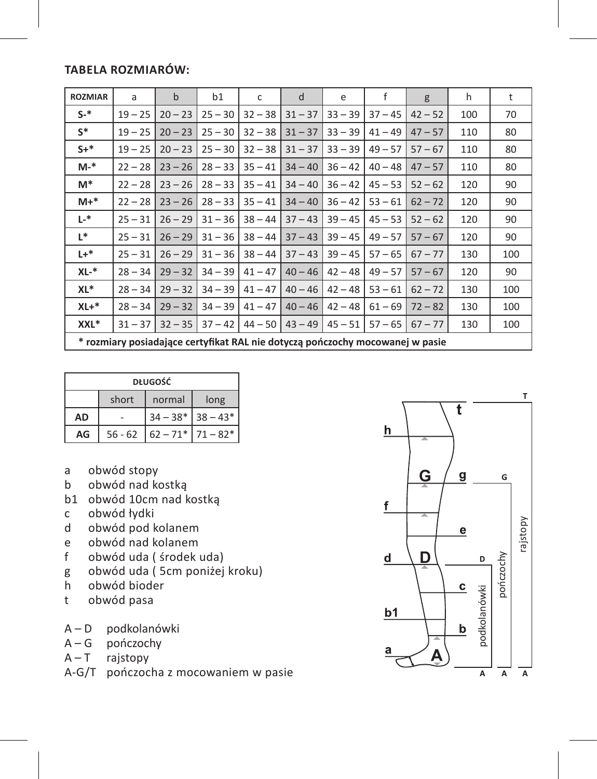### **Tabela rozmiarów:**

| <b>ROZMIAR</b> | a                                                                             | $\mathbf b$ | b1        | c         | d         | e         | f         | g         | h   | t   |
|----------------|-------------------------------------------------------------------------------|-------------|-----------|-----------|-----------|-----------|-----------|-----------|-----|-----|
| $S-$ *         | $19 - 25$                                                                     | $20 - 23$   | $25 - 30$ | $32 - 38$ | $31 - 37$ | $33 - 39$ | $37 - 45$ | $42 - 52$ | 100 | 70  |
| $S^*$          | $19 - 25$                                                                     | $20 - 23$   | $25 - 30$ | $32 - 38$ | $31 - 37$ | $33 - 39$ | $41 - 49$ | $47 - 57$ | 110 | 80  |
| $S+^*$         | $19 - 25$                                                                     | $20 - 23$   | $25 - 30$ | $32 - 38$ | $31 - 37$ | $33 - 39$ | $49 - 57$ | $57 - 67$ | 110 | 80  |
| $M-$ *         | $22 - 28$                                                                     | $23 - 26$   | $28 - 33$ | $35 - 41$ | $34 - 40$ | $36 - 42$ | $40 - 48$ | $47 - 57$ | 110 | 80  |
| M*             | $22 - 28$                                                                     | $23 - 26$   | $28 - 33$ | $35 - 41$ | $34 - 40$ | $36 - 42$ | $45 - 53$ | $52 - 62$ | 120 | 90  |
| $M+*$          | $22 - 28$                                                                     | $23 - 26$   | $28 - 33$ | $35 - 41$ | $34 - 40$ | $36 - 42$ | $53 - 61$ | $62 - 72$ | 120 | 90  |
| $L^{*}$        | $25 - 31$                                                                     | $26 - 29$   | $31 - 36$ | $38 - 44$ | $37 - 43$ | $39 - 45$ | $45 - 53$ | $52 - 62$ | 120 | 90  |
| L*             | $25 - 31$                                                                     | $26 - 29$   | $31 - 36$ | $38 - 44$ | $37 - 43$ | $39 - 45$ | $49 - 57$ | $57 - 67$ | 120 | 90  |
| $L +$ *        | $25 - 31$                                                                     | $26 - 29$   | $31 - 36$ | $38 - 44$ | $37 - 43$ | $39 - 45$ | $57 - 65$ | $67 - 77$ | 130 | 100 |
| $XL-*$         | $28 - 34$                                                                     | $29 - 32$   | $34 - 39$ | $41 - 47$ | $40 - 46$ | $42 - 48$ | $49 - 57$ | $57 - 67$ | 120 | 90  |
| XL*            | $28 - 34$                                                                     | $29 - 32$   | $34 - 39$ | $41 - 47$ | $40 - 46$ | $42 - 48$ | $53 - 61$ | $62 - 72$ | 130 | 100 |
| $XL+*$         | $28 - 34$                                                                     | $29 - 32$   | $34 - 39$ | $41 - 47$ | $40 - 46$ | $42 - 48$ | $61 - 69$ | $72 - 82$ | 130 | 100 |
| XXL*           | $31 - 37$                                                                     | $32 - 35$   | $37 - 42$ | $44 - 50$ | $43 - 49$ | $45 - 51$ | $57 - 65$ | $67 - 77$ | 130 | 100 |
|                | * rozmiary posiadające certyfikat RAL nie dotyczą pończochy mocowanej w pasie |             |           |           |           |           |           |           |     |     |

| <b>DŁUGOŚĆ</b> |           |                       |      |  |  |  |  |
|----------------|-----------|-----------------------|------|--|--|--|--|
|                | short     | normal                | long |  |  |  |  |
| AD             |           | $34 - 38*$ 38 - 43*   |      |  |  |  |  |
| AG             | $56 - 62$ | $62 - 71$ $71 - 82$ * |      |  |  |  |  |

- a obwód stopy<br>b obwód nad ko
- b obwód nad kostką
- b1 obwód 10cm nad kostką
- c obwód łydki
- d obwód pod kolanem
- e obwód nad kolanem<br>f obwód uda (środek)
- obwód uda ( środek uda)
- g obwód uda ( 5cm poniżej kroku)
- h obwód bioder
- t obwód pasa
- A D podkolanówki
- $A G$  pończochy<br> $A T$  raistopy
- rajstopy
- A-G/T pończocha z mocowaniem w pasie

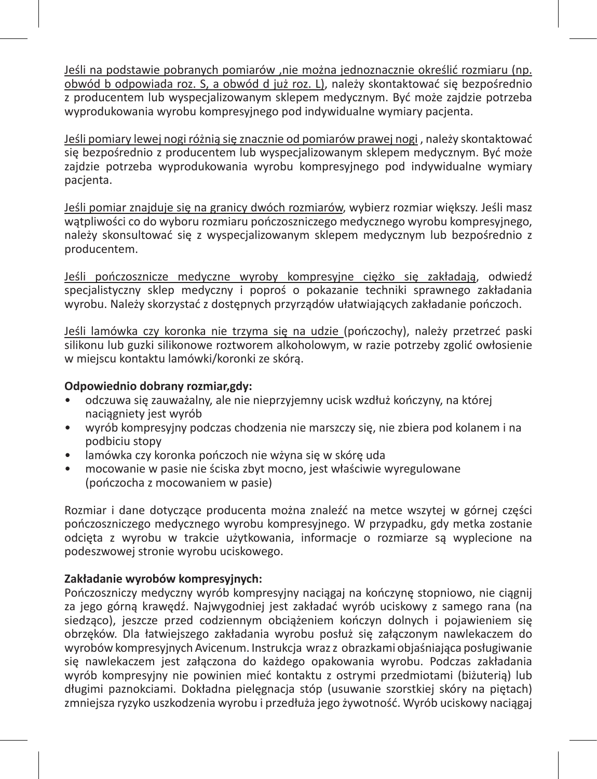Jeśli na podstawie pobranych pomiarów ,nie można jednoznacznie określić rozmiaru (np. obwód b odpowiada roz. S, a obwód d już roz. L), należy skontaktować się bezpośrednio z producentem lub wyspecjalizowanym sklepem medycznym. Być może zajdzie potrzeba wyprodukowania wyrobu kompresyjnego pod indywidualne wymiary pacjenta.

Jeśli pomiary lewej nogi różnią się znacznie od pomiarów prawej nogi , należy skontaktować się bezpośrednio z producentem lub wyspecjalizowanym sklepem medycznym. Być może zajdzie potrzeba wyprodukowania wyrobu kompresyjnego pod indywidualne wymiary pacjenta.

Jeśli pomiar znajduje się na granicy dwóch rozmiarów, wybierz rozmiar większy. Jeśli masz watpliwości co do wyboru rozmiaru pończoszniczego medycznego wyrobu kompresyjnego, należy skonsultować się z wyspecjalizowanym sklepem medycznym lub bezpośrednio z producentem.

Jeśli pończosznicze medyczne wyroby kompresyjne ciężko się zakładają, odwiedź specjalistyczny sklep medyczny i poproś o pokazanie techniki sprawnego zakładania wyrobu. Należy skorzystać z dostępnych przyrządów ułatwiających zakładanie pończoch.

Jeśli lamówka czy koronka nie trzyma się na udzie (pończochy), należy przetrzeć paski silikonu lub guzki silikonowe roztworem alkoholowym, w razie potrzeby zgolić owłosienie w miejscu kontaktu lamówki/koronki ze skórą.

### **Odpowiednio dobrany rozmiar,gdy:**

- odczuwa się zauważalny, ale nie nieprzyjemny ucisk wzdłuż kończyny, na której naciągniety jest wyrób
- wyrób kompresyjny podczas chodzenia nie marszczy się, nie zbiera pod kolanem i na podbiciu stopy
- lamówka czy koronka pończoch nie wżyna się w skórę uda
- mocowanie w pasie nie ściska zbyt mocno, jest właściwie wyregulowane (pończocha z mocowaniem w pasie)

Rozmiar i dane dotyczące producenta można znaleźć na metce wszytej w górnej części pończoszniczego medycznego wyrobu kompresyjnego. W przypadku, gdy metka zostanie odcięta z wyrobu w trakcie użytkowania, informacje o rozmiarze są wyplecione na podeszwowej stronie wyrobu uciskowego.

### **Zakładanie wyrobów kompresyjnych:**

Pończoszniczy medyczny wyrób kompresyjny naciągaj na kończynę stopniowo, nie ciągnij za jego górną krawędź. Najwygodniej jest zakładać wyrób uciskowy z samego rana (na siedząco), jeszcze przed codziennym obciążeniem kończyn dolnych i pojawieniem się obrzęków. Dla łatwiejszego zakładania wyrobu posłuż się załączonym nawlekaczem do wyrobów kompresyjnych Avicenum. Instrukcja wraz z obrazkami objaśniająca posługiwanie się nawlekaczem jest załączona do każdego opakowania wyrobu. Podczas zakładania wyrób kompresyjny nie powinien mieć kontaktu z ostrymi przedmiotami (biżuterią) lub długimi paznokciami. Dokładna pielęgnacja stóp (usuwanie szorstkiej skóry na piętach) zmniejsza ryzyko uszkodzenia wyrobu i przedłuża jego żywotność. Wyrób uciskowy naciągaj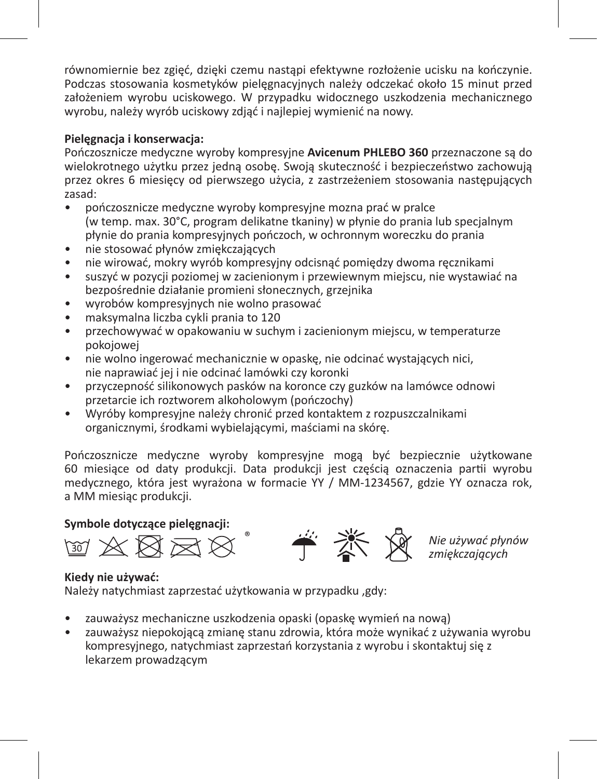równomiernie bez zgięć, dzięki czemu nastąpi efektywne rozłożenie ucisku na kończynie. Podczas stosowania kosmetyków pielęgnacyjnych należy odczekać około 15 minut przed założeniem wyrobu uciskowego. W przypadku widocznego uszkodzenia mechanicznego wyrobu, należy wyrób uciskowy zdjąć i najlepiej wymienić na nowy.

### **Pielęgnacja i konserwacja:**

Pończosznicze medyczne wyroby kompresyjne **Avicenum PHLEBO 360** przeznaczone są do wielokrotnego użytku przez jedną osobę. Swoją skuteczność i bezpieczeństwo zachowują przez okres 6 miesięcy od pierwszego użycia, z zastrzeżeniem stosowania następujących zasad:

- pończosznicze medyczne wyroby kompresyjne mozna prać w pralce (w temp. max. 30°C, program delikatne tkaniny) w płynie do prania lub specjalnym płynie do prania kompresyjnych pończoch, w ochronnym woreczku do prania
- nie stosować płynów zmiękczających
- nie wirować, mokry wyrób kompresyjny odcisnąć pomiędzy dwoma ręcznikami
- suszyć w pozycji poziomej w zacienionym i przewiewnym miejscu, nie wystawiać na bezpośrednie działanie promieni słonecznych, grzejnika
- wyrobów kompresyjnych nie wolno prasować
- maksymalna liczba cykli prania to 120
- przechowywać w opakowaniu w suchym i zacienionym miejscu, w temperaturze pokojowej
- nie wolno ingerować mechanicznie w opaskę, nie odcinać wystających nici, nie naprawiać jej i nie odcinać lamówki czy koronki
- przyczepność silikonowych pasków na koronce czy guzków na lamówce odnowi przetarcie ich roztworem alkoholowym (pończochy)
- Wyróby kompresyjne należy chronić przed kontaktem z rozpuszczalnikami organicznymi, środkami wybielającymi, maściami na skórę.

Pończosznicze medyczne wyroby kompresyjne mogą być bezpiecznie użytkowane 60 miesiące od daty produkcji. Data produkcji jest częścią oznaczenia partii wyrobu medycznego, która jest wyrażona w formacie YY / MM-1234567, gdzie YY oznacza rok, a MM miesiąc produkcji.

### **Symbole dotyczące pielęgnacji:**

 $X \boxtimes X$ 



*Nie używać płynów zmiękczających*

### **Kiedy nie używać:**

Należy natychmiast zaprzestać użytkowania w przypadku ,gdy:

- zauważysz mechaniczne uszkodzenia opaski (opaskę wymień na nową)
- zauważysz niepokojącą zmianę stanu zdrowia, która może wynikać z używania wyrobu kompresyjnego, natychmiast zaprzestań korzystania z wyrobu i skontaktuj się z lekarzem prowadzącym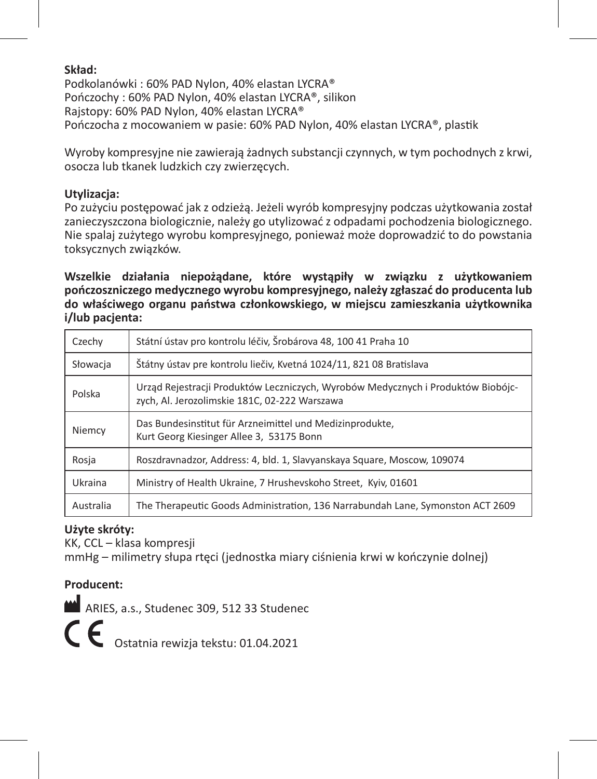### **Skład:**

Podkolanówki : 60% PAD Nylon, 40% elastan LYCRA® Pończochy : 60% PAD Nylon, 40% elastan LYCRA®, silikon Rajstopy: 60% PAD Nylon, 40% elastan LYCRA® Pończocha z mocowaniem w pasie: 60% PAD Nylon, 40% elastan LYCRA®, plastik

Wyroby kompresyjne nie zawierają żadnych substancji czynnych, w tym pochodnych z krwi, osocza lub tkanek ludzkich czy zwierzęcych.

### **Utylizacja:**

Po zużyciu postępować jak z odzieżą. Jeżeli wyrób kompresyjny podczas użytkowania został zanieczyszczona biologicznie, należy go utylizować z odpadami pochodzenia biologicznego. Nie spalaj zużytego wyrobu kompresyjnego, ponieważ może doprowadzić to do powstania toksycznych związków.

**Wszelkie działania niepożądane, które wystąpiły w związku z użytkowaniem pończoszniczego medycznego wyrobu kompresyjnego, należy zgłaszać do producenta lub do właściwego organu państwa członkowskiego, w miejscu zamieszkania użytkownika i/lub pacjenta:**

| Czechy    | Státní ústav pro kontrolu léčiv, Šrobárova 48, 100 41 Praha 10                                                                    |
|-----------|-----------------------------------------------------------------------------------------------------------------------------------|
| Słowacja  | Štátny ústav pre kontrolu liečiv, Kvetná 1024/11, 821 08 Bratislava                                                               |
| Polska    | Urząd Rejestracji Produktów Leczniczych, Wyrobów Medycznych i Produktów Biobójc-<br>zych, Al. Jerozolimskie 181C, 02-222 Warszawa |
| Niemcy    | Das Bundesinstitut für Arzneimittel und Medizinprodukte,<br>Kurt Georg Kiesinger Allee 3, 53175 Bonn                              |
| Rosja     | Roszdravnadzor, Address: 4, bld. 1, Slavyanskaya Square, Moscow, 109074                                                           |
| Ukraina   | Ministry of Health Ukraine, 7 Hrushevskoho Street, Kyiv, 01601                                                                    |
| Australia | The Therapeutic Goods Administration, 136 Narrabundah Lane, Symonston ACT 2609                                                    |

### **Użyte skróty:**

KK, CCL – klasa kompresji mmHg – milimetry słupa rtęci (jednostka miary ciśnienia krwi w kończynie dolnej)

### **Producent:**

ARIES, a.s., Studenec 309, 512 33 Studenec

C C Ostatnia rewizja tekstu: 01.04.2021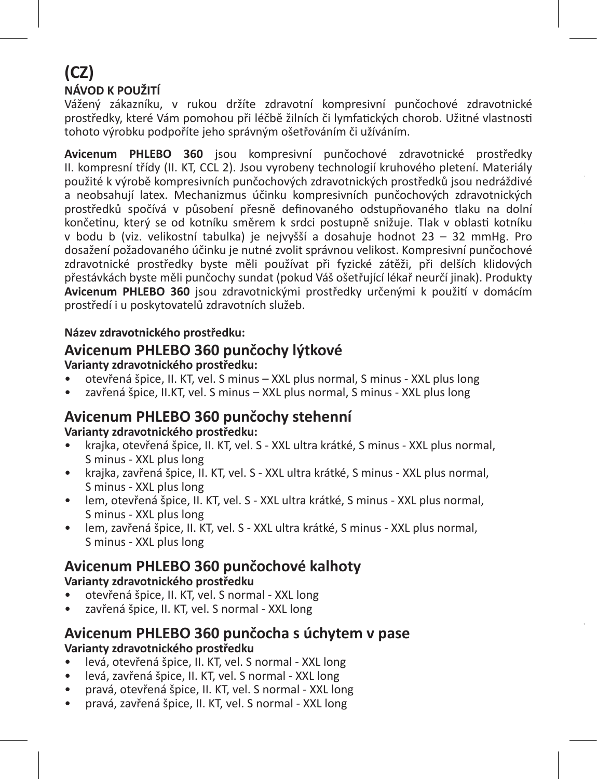### **(CZ) NÁVOD K POUŽITÍ**

Vážený zákazníku, v rukou držíte zdravotní kompresivní punčochové zdravotnické prostředky, které Vám pomohou při léčbě žilních či lymfatických chorob. Užitné vlastnosti tohoto výrobku podpoříte jeho správným ošetřováním či užíváním.

**Avicenum PHLEBO 360** jsou kompresivní punčochové zdravotnické prostředky II. kompresní třídy (II. KT, CCL 2). Jsou vyrobeny technologií kruhového pletení. Materiály použité k výrobě kompresivních punčochových zdravotnických prostředků jsou nedráždivé a neobsahují latex. Mechanizmus účinku kompresivních punčochových zdravotnických prostředků spočívá v působení přesně definovaného odstupňovaného tlaku na dolní končetinu, který se od kotníku směrem k srdci postupně snižuje. Tlak v oblasti kotníku v bodu b (viz. velikostní tabulka) je nejvyšší a dosahuje hodnot 23 – 32 mmHg. Pro dosažení požadovaného účinku je nutné zvolit správnou velikost. Kompresivní punčochové zdravotnické prostředky byste měli používat při fyzické zátěži, při delších klidových přestávkách byste měli punčochy sundat (pokud Váš ošetřující lékař neurčí jinak). Produkty **Avicenum PHLEBO 360** jsou zdravotnickými prostředky určenými k použití v domácím prostředí i u poskytovatelů zdravotních služeb.

### **Název zdravotnického prostředku:**

### **Avicenum PHLEBO 360 punčochy lýtkové**

### **Varianty zdravotnického prostředku:**

- otevřená špice, II. KT, vel. S minus XXL plus normal, S minus XXL plus long
- zavřená špice, II.KT, vel. S minus XXL plus normal, S minus XXL plus long

### **Avicenum PHLEBO 360 punčochy stehenní**

### **Varianty zdravotnického prostředku:**

- krajka, otevřená špice, II. KT, vel. S XXL ultra krátké, S minus XXL plus normal, S minus - XXL plus long
- krajka, zavřená špice, II. KT, vel. S XXL ultra krátké, S minus XXL plus normal, S minus - XXL plus long
- lem, otevřená špice, II. KT, vel. S XXL ultra krátké, S minus XXL plus normal, S minus - XXL plus long
- lem, zavřená špice, II. KT, vel. S XXL ultra krátké, S minus XXL plus normal, S minus - XXL plus long

# **Avicenum PHLEBO 360 punčochové kalhoty**

### **Varianty zdravotnického prostředku**

- otevřená špice, II. KT, vel. S normal XXL long
- zavřená špice, II. KT, vel. S normal XXL long

### **Avicenum PHLEBO 360 punčocha s úchytem v pase Varianty zdravotnického prostředku**

- levá, otevřená špice, II. KT, vel. S normal XXL long
- levá, zavřená špice, II. KT, vel. S normal XXL long
- pravá, otevřená špice, II. KT, vel. S normal XXL long
- pravá, zavřená špice, II. KT, vel. S normal XXL long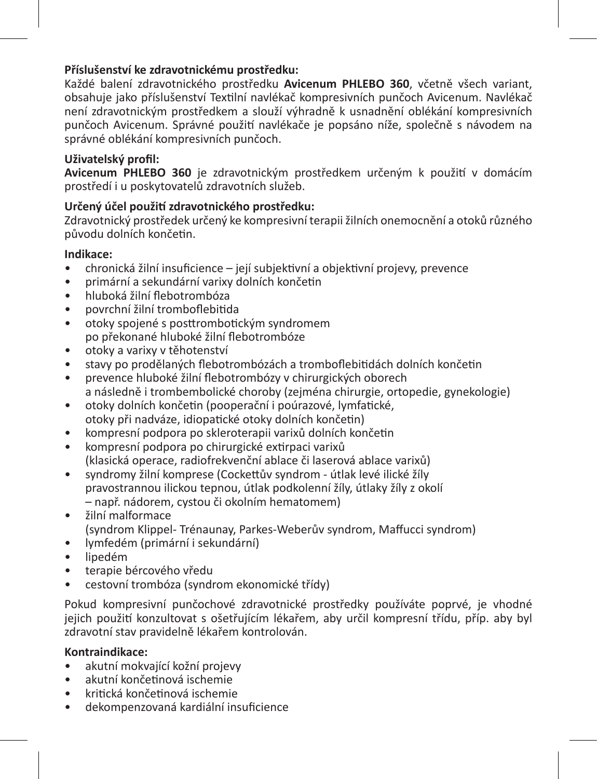### **Příslušenství ke zdravotnickému prostředku:**

Každé balení zdravotnického prostředku **Avicenum PHLEBO 360**, včetně všech variant, obsahuje jako příslušenství Textilní navlékač kompresivních punčoch Avicenum. Navlékač není zdravotnickým prostředkem a slouží výhradně k usnadnění oblékání kompresivních punčoch Avicenum. Správné použití navlékače je popsáno níže, společně s návodem na správné oblékání kompresivních punčoch.

### **Uživatelský profil:**

**Avicenum PHLEBO 360** je zdravotnickým prostředkem určeným k použití v domácím prostředí i u poskytovatelů zdravotních služeb.

### **Určený účel použití zdravotnického prostředku:**

Zdravotnický prostředek určený ke kompresivní terapii žilních onemocnění a otoků různého původu dolních končetin.

### **Indikace:**

- chronická žilní insuficience její subjektivní a objektivní projevy, prevence
- primární a sekundární varixy dolních končetin
- hluboká žilní flebotrombóza
- povrchní žilní tromboflebitida
- otoky spojené s posttrombotickým syndromem po překonané hluboké žilní flebotrombóze
- otoky a varixy v těhotenství
- stavy po prodělaných flebotrombózách a tromboflebitidách dolních končetin
- prevence hluboké žilní flebotrombózy v chirurgických oborech a následně i trombembolické choroby (zejména chirurgie, ortopedie, gynekologie)
- otoky dolních končetin (pooperační i poúrazové, lymfatické, otoky při nadváze, idiopatické otoky dolních končetin)
- kompresní podpora po skleroterapii varixů dolních končetin
- kompresní podpora po chirurgické extirpaci varixů (klasická operace, radiofrekvenční ablace či laserová ablace varixů)
- syndromy žilní komprese (Cockettův syndrom útlak levé ilické žíly pravostrannou ilickou tepnou, útlak podkolenní žíly, útlaky žíly z okolí – např. nádorem, cystou či okolním hematomem)
- žilní malformace (syndrom Klippel- Trénaunay, Parkes-Weberův syndrom, Maffucci syndrom)
- lymfedém (primární i sekundární)
- lipedém
- terapie bércového vředu
- cestovní trombóza (syndrom ekonomické třídy)

Pokud kompresivní punčochové zdravotnické prostředky používáte poprvé, je vhodné jejich použití konzultovat s ošetřujícím lékařem, aby určil kompresní třídu, příp. aby byl zdravotní stav pravidelně lékařem kontrolován.

### **Kontraindikace:**

- akutní mokvající kožní projevy
- akutní končetinová ischemie
- kritická končetinová ischemie
- dekompenzovaná kardiální insuficience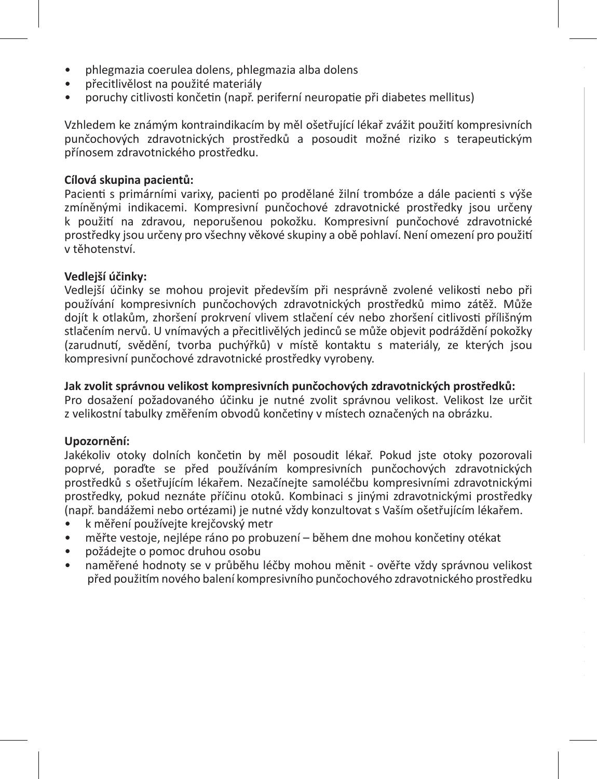- phlegmazia coerulea dolens, phlegmazia alba dolens
- přecitlivělost na použité materiály
- poruchy citlivosti končetin (např. periferní neuropatie při diabetes mellitus)

Vzhledem ke známým kontraindikacím by měl ošetřující lékař zvážit použití kompresivních punčochových zdravotnických prostředků a posoudit možné riziko s terapeutickým přínosem zdravotnického prostředku.

### **Cílová skupina pacientů:**

Pacienti s primárními varixy, pacienti po prodělané žilní trombóze a dále pacienti s výše zmíněnými indikacemi. Kompresivní punčochové zdravotnické prostředky jsou určeny k použití na zdravou, neporušenou pokožku. Kompresivní punčochové zdravotnické prostředky jsou určeny pro všechny věkové skupiny a obě pohlaví. Není omezení pro použití v těhotenství.

### **Vedlejší účinky:**

Vedlejší účinky se mohou projevit především při nesprávně zvolené velikosti nebo při používání kompresivních punčochových zdravotnických prostředků mimo zátěž. Může dojít k otlakům, zhoršení prokrvení vlivem stlačení cév nebo zhoršení citlivosti přílišným stlačením nervů. U vnímavých a přecitlivělých jedinců se může objevit podráždění pokožky (zarudnutí, svědění, tvorba puchýřků) v místě kontaktu s materiály, ze kterých jsou kompresivní punčochové zdravotnické prostředky vyrobeny.

#### **Jak zvolit správnou velikost kompresivních punčochových zdravotnických prostředků:**

Pro dosažení požadovaného účinku je nutné zvolit správnou velikost. Velikost lze určit z velikostní tabulky změřením obvodů končetiny v místech označených na obrázku.

#### **Upozornění:**

Jakékoliv otoky dolních končetin by měl posoudit lékař. Pokud jste otoky pozorovali poprvé, poraďte se před používáním kompresivních punčochových zdravotnických prostředků s ošetřujícím lékařem. Nezačínejte samoléčbu kompresivními zdravotnickými prostředky, pokud neznáte příčinu otoků. Kombinaci s jinými zdravotnickými prostředky (např. bandážemi nebo ortézami) je nutné vždy konzultovat s Vaším ošetřujícím lékařem.

- k měření používejte krejčovský metr
- měřte vestoje, nejlépe ráno po probuzení během dne mohou končetiny otékat
- požádejte o pomoc druhou osobu
- naměřené hodnoty se v průběhu léčby mohou měnit ověřte vždy správnou velikost před použitím nového balení kompresivního punčochového zdravotnického prostředku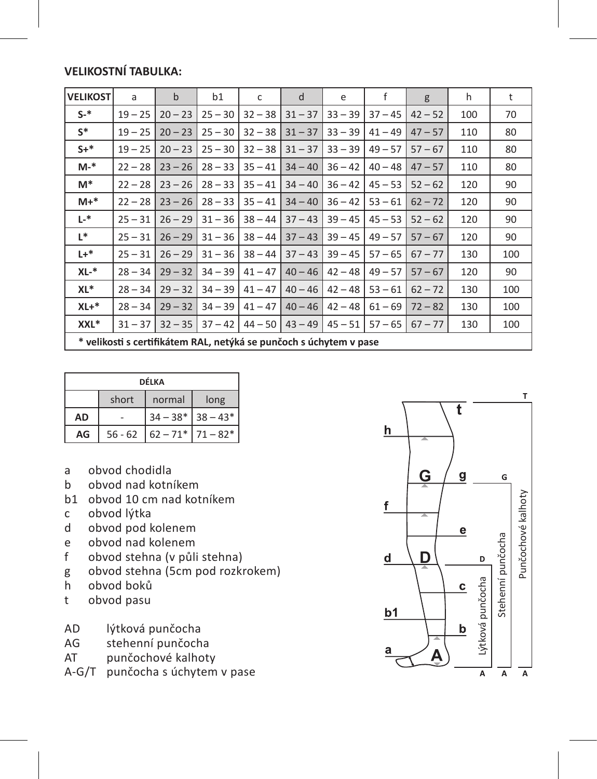### **VELIKOSTNÍ TABULKA:**

| <b>VELIKOST</b>                                                    | a         | $\mathbf b$ | b1        | c         | d         | e         | f         | g         | h   | t   |
|--------------------------------------------------------------------|-----------|-------------|-----------|-----------|-----------|-----------|-----------|-----------|-----|-----|
| $S-$ *                                                             | $19 - 25$ | $20 - 23$   | $25 - 30$ | $32 - 38$ | $31 - 37$ | $33 - 39$ | $37 - 45$ | $42 - 52$ | 100 | 70  |
| $S^*$                                                              | $19 - 25$ | $20 - 23$   | $25 - 30$ | $32 - 38$ | $31 - 37$ | $33 - 39$ | $41 - 49$ | $47 - 57$ | 110 | 80  |
| $S+^*$                                                             | $19 - 25$ | $20 - 23$   | $25 - 30$ | $32 - 38$ | $31 - 37$ | $33 - 39$ | $49 - 57$ | $57 - 67$ | 110 | 80  |
| $M-*$                                                              | $22 - 28$ | $23 - 26$   | $28 - 33$ | $35 - 41$ | $34 - 40$ | $36 - 42$ | $40 - 48$ | $47 - 57$ | 110 | 80  |
| M*                                                                 | $22 - 28$ | $23 - 26$   | $28 - 33$ | $35 - 41$ | $34 - 40$ | $36 - 42$ | $45 - 53$ | $52 - 62$ | 120 | 90  |
| $M+*$                                                              | $22 - 28$ | $23 - 26$   | $28 - 33$ | $35 - 41$ | $34 - 40$ | $36 - 42$ | $53 - 61$ | $62 - 72$ | 120 | 90  |
| L-*                                                                | $25 - 31$ | $26 - 29$   | $31 - 36$ | $38 - 44$ | $37 - 43$ | $39 - 45$ | $45 - 53$ | $52 - 62$ | 120 | 90  |
| L*                                                                 | $25 - 31$ | $26 - 29$   | $31 - 36$ | $38 - 44$ | $37 - 43$ | $39 - 45$ | $49 - 57$ | $57 - 67$ | 120 | 90  |
| $L +$ *                                                            | $25 - 31$ | $26 - 29$   | $31 - 36$ | $38 - 44$ | $37 - 43$ | $39 - 45$ | $57 - 65$ | $67 - 77$ | 130 | 100 |
| XL-*                                                               | $28 - 34$ | $29 - 32$   | $34 - 39$ | $41 - 47$ | $40 - 46$ | $42 - 48$ | $49 - 57$ | $57 - 67$ | 120 | 90  |
| XL*                                                                | $28 - 34$ | $29 - 32$   | $34 - 39$ | $41 - 47$ | $40 - 46$ | $42 - 48$ | $53 - 61$ | $62 - 72$ | 130 | 100 |
| $XL+*$                                                             | $28 - 34$ | $29 - 32$   | $34 - 39$ | $41 - 47$ | $40 - 46$ | $42 - 48$ | $61 - 69$ | $72 - 82$ | 130 | 100 |
| XXL*                                                               | $31 - 37$ | $32 - 35$   | $37 - 42$ | $44 - 50$ | $43 - 49$ | $45 - 51$ | $57 - 65$ | $67 - 77$ | 130 | 100 |
| * velikosti s certifikátem RAL, netýká se punčoch s úchytem v pase |           |             |           |           |           |           |           |           |     |     |

| DÉLKA     |                         |                       |  |  |  |  |
|-----------|-------------------------|-----------------------|--|--|--|--|
|           | short<br>normal<br>long |                       |  |  |  |  |
| <b>AD</b> |                         | $34 - 38*$ 38 - 43*   |  |  |  |  |
| AG        | $56 - 62$               | $62 - 71$ $71 - 82$ * |  |  |  |  |

- a obvod chodidla<br>b obvod nad kotn
- b obvod nad kotníkem
- b1 obvod 10 cm nad kotníkem<br>c obvod lýtka
- obvod lýtka
- d obvod pod kolenem<br>e obvod nad kolenem
- e obvod nad kolenem<br>f obvod stebna (v nůli
- obvod stehna (v půli stehna)
- g obvod stehna (5cm pod rozkrokem)<br>h obvod boků
- h obvod boků
- t obvod pasu
- AD lýtková punčocha<br>AG stehenní punčoch
- AG stehenní punčocha<br>AT punčochové kalhoty
- punčochové kalhoty
- A-G/T punčocha s úchytem v pase

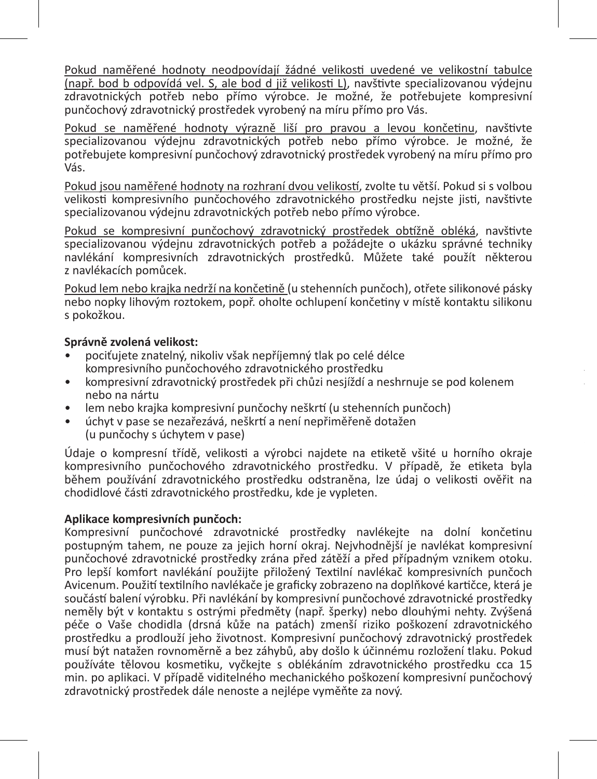Pokud naměřené hodnoty neodpovídají žádné velikosti uvedené ve velikostní tabulce (např. bod b odpovídá vel. S, ale bod d již velikosti L), navštivte specializovanou výdejnu zdravotnických potřeb nebo přímo výrobce. Je možné, že potřebujete kompresivní punčochový zdravotnický prostředek vyrobený na míru přímo pro Vás.

Pokud se naměřené hodnoty výrazně liší pro pravou a levou končetinu, navštivte specializovanou výdejnu zdravotnických potřeb nebo přímo výrobce. Je možné, že potřebujete kompresivní punčochový zdravotnický prostředek vyrobený na míru přímo pro .<br>Vás

Pokud jsou naměřené hodnoty na rozhraní dvou velikostí, zvolte tu větší. Pokud si s volbou velikosti kompresivního punčochového zdravotnického prostředku nejste jisti, navštivte specializovanou výdejnu zdravotnických potřeb nebo přímo výrobce.

Pokud se kompresivní punčochový zdravotnický prostředek obtížně obléká, navštivte specializovanou výdejnu zdravotnických potřeb a požádejte o ukázku správné techniky navlékání kompresivních zdravotnických prostředků. Můžete také použít některou z navlékacích pomůcek.

Pokud lem nebo krajka nedrží na končetině (u stehenních punčoch), otřete silikonové pásky nebo nopky lihovým roztokem, popř. oholte ochlupení končetiny v místě kontaktu silikonu s pokožkou.

### **Správně zvolená velikost:**

- pociťujete znatelný, nikoliv však nepříjemný tlak po celé délce kompresivního punčochového zdravotnického prostředku
- kompresivní zdravotnický prostředek při chůzi nesjíždí a neshrnuje se pod kolenem nebo na nártu
- lem nebo krajka kompresivní punčochy neškrtí (u stehenních punčoch)
- úchyt v pase se nezařezává, neškrtí a není nepřiměřeně dotažen (u punčochy s úchytem v pase)

Údaje o kompresní třídě, velikosti a výrobci najdete na etiketě všité u horního okraje kompresivního punčochového zdravotnického prostředku. V případě, že etiketa byla během používání zdravotnického prostředku odstraněna, lze údaj o velikosti ověřit na chodidlové části zdravotnického prostředku, kde je vypleten.

### **Aplikace kompresivních punčoch:**

Kompresivní punčochové zdravotnické prostředky navlékejte na dolní končetinu postupným tahem, ne pouze za jejich horní okraj. Nejvhodnější je navlékat kompresivní punčochové zdravotnické prostředky zrána před zátěží a před případným vznikem otoku. Pro lepší komfort navlékání použijte přiložený Textilní navlékač kompresivních punčoch Avicenum. Použití textilního navlékače je graficky zobrazeno na doplňkové kartičce, která je součástí balení výrobku. Při navlékání by kompresivní punčochové zdravotnické prostředky neměly být v kontaktu s ostrými předměty (např. šperky) nebo dlouhými nehty. Zvýšená péče o Vaše chodidla (drsná kůže na patách) zmenší riziko poškození zdravotnického prostředku a prodlouží jeho životnost. Kompresivní punčochový zdravotnický prostředek musí být natažen rovnoměrně a bez záhybů, aby došlo k účinnému rozložení tlaku. Pokud používáte tělovou kosmetiku, vyčkejte s oblékáním zdravotnického prostředku cca 15 min. po aplikaci. V případě viditelného mechanického poškození kompresivní punčochový zdravotnický prostředek dále nenoste a nejlépe vyměňte za nový.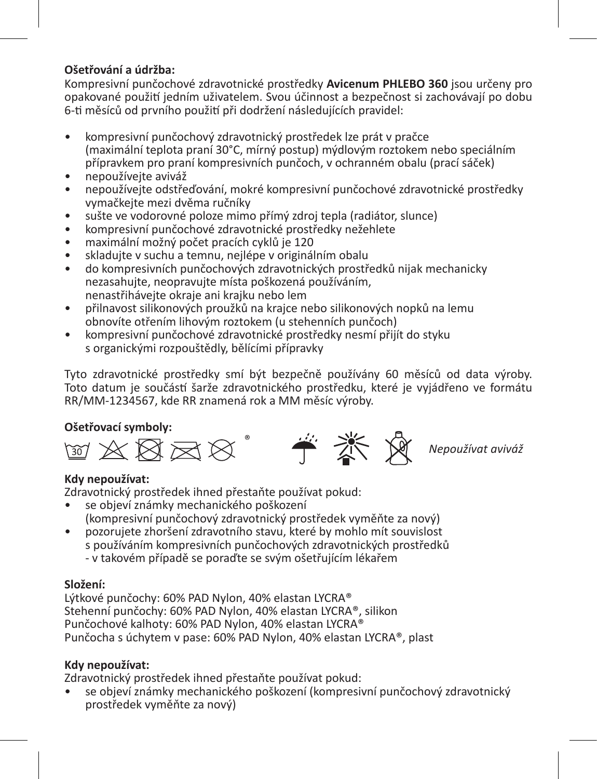### **Ošetřování a údržba:**

Kompresivní punčochové zdravotnické prostředky **Avicenum PHLEBO 360** jsou určeny pro opakované použití jedním uživatelem. Svou účinnost a bezpečnost si zachovávají po dobu 6-ti měsíců od prvního použití při dodržení následujících pravidel:

- kompresivní punčochový zdravotnický prostředek lze prát v pračce (maximální teplota praní 30°C, mírný postup) mýdlovým roztokem nebo speciálním přípravkem pro praní kompresivních punčoch, v ochranném obalu (prací sáček)
- nepoužívejte aviváž
- nepoužívejte odstřeďování, mokré kompresivní punčochové zdravotnické prostředky vymačkejte mezi dvěma ručníky
- sušte ve vodorovné poloze mimo přímý zdroj tepla (radiátor, slunce)
- kompresivní punčochové zdravotnické prostředky nežehlete
- maximální možný počet pracích cyklů je 120
- skladujte v suchu a temnu, nejlépe v originálním obalu
- do kompresivních punčochových zdravotnických prostředků nijak mechanicky nezasahujte, neopravujte místa poškozená používáním, nenastřihávejte okraje ani krajku nebo lem
- přilnavost silikonových proužků na krajce nebo silikonových nopků na lemu obnovíte otřením lihovým roztokem (u stehenních punčoch)
- kompresivní punčochové zdravotnické prostředky nesmí přijít do styku s organickými rozpouštědly, bělícími přípravky

Tyto zdravotnické prostředky smí být bezpečně používány 60 měsíců od data výroby. Toto datum je součástí šarže zdravotnického prostředku, které je vyjádřeno ve formátu RR/MM-1234567, kde RR znamená rok a MM měsíc výroby.



*Nepoužívat aviváž*

### **Kdy nepoužívat:**

Zdravotnický prostředek ihned přestaňte používat pokud:

- se objeví známky mechanického poškození (kompresivní punčochový zdravotnický prostředek vyměňte za nový)
- pozorujete zhoršení zdravotního stavu, které by mohlo mít souvislost s používáním kompresivních punčochových zdravotnických prostředků - v takovém případě se poraďte se svým ošetřujícím lékařem

### **Složení:**

Lýtkové punčochy: 60% PAD Nylon, 40% elastan LYCRA® Stehenní punčochy: 60% PAD Nylon, 40% elastan LYCRA®, silikon Punčochové kalhoty: 60% PAD Nylon, 40% elastan LYCRA® Punčocha s úchytem v pase: 60% PAD Nylon, 40% elastan LYCRA®, plast

### **Kdy nepoužívat:**

Zdravotnický prostředek ihned přestaňte používat pokud:

• se objeví známky mechanického poškození (kompresivní punčochový zdravotnický prostředek vyměňte za nový)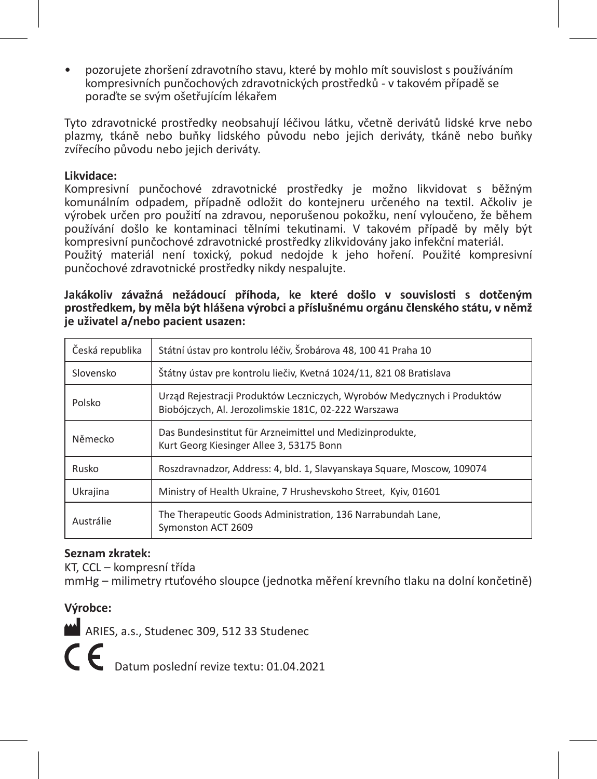• pozorujete zhoršení zdravotního stavu, které by mohlo mít souvislost s používáním kompresivních punčochových zdravotnických prostředků - v takovém případě se poraďte se svým ošetřujícím lékařem

Tyto zdravotnické prostředky neobsahují léčivou látku, včetně derivátů lidské krve nebo plazmy, tkáně nebo buňky lidského původu nebo jejich deriváty, tkáně nebo buňky zvířecího původu nebo jejich deriváty.

### **Likvidace:**

Kompresivní punčochové zdravotnické prostředky je možno likvidovat s běžným komunálním odpadem, případně odložit do kontejneru určeného na textil. Ačkoliv je výrobek určen pro použití na zdravou, neporušenou pokožku, není vyloučeno, že během používání došlo ke kontaminaci tělními tekutinami. V takovém případě by měly být kompresivní punčochové zdravotnické prostředky zlikvidovány jako infekční materiál. Použitý materiál není toxický, pokud nedojde k jeho hoření. Použité kompresivní punčochové zdravotnické prostředky nikdy nespalujte.

**Jakákoliv závažná nežádoucí příhoda, ke které došlo v souvislosti s dotčeným prostředkem, by měla být hlášena výrobci a příslušnému orgánu členského státu, v němž je uživatel a/nebo pacient usazen:**

| Česká republika | Státní ústav pro kontrolu léčiv. Šrobárova 48. 100 41 Praha 10                                                                  |
|-----------------|---------------------------------------------------------------------------------------------------------------------------------|
| Slovensko       | Štátny ústav pre kontrolu liečiv, Kvetná 1024/11, 821 08 Bratislava                                                             |
| Polsko          | Urząd Rejestracji Produktów Leczniczych, Wyrobów Medycznych i Produktów<br>Biobójczych, Al. Jerozolimskie 181C, 02-222 Warszawa |
| Německo         | Das Bundesinstitut für Arzneimittel und Medizinprodukte,<br>Kurt Georg Kiesinger Allee 3, 53175 Bonn                            |
| Rusko           | Roszdravnadzor, Address: 4, bld. 1, Slavyanskaya Square, Moscow, 109074                                                         |
| Ukrajina        | Ministry of Health Ukraine, 7 Hrushevskoho Street, Kyiv, 01601                                                                  |
| Austrálie       | The Therapeutic Goods Administration, 136 Narrabundah Lane.<br>Symonston ACT 2609                                               |

### **Seznam zkratek:**

KT, CCL – kompresní třída

mmHg – milimetry rtuťového sloupce (jednotka měření krevního tlaku na dolní končetině)

### **Výrobce:**

ARIES, a.s., Studenec 309, 512 33 Studenec

C  $\epsilon$  Datum poslední revize textu: 01.04.2021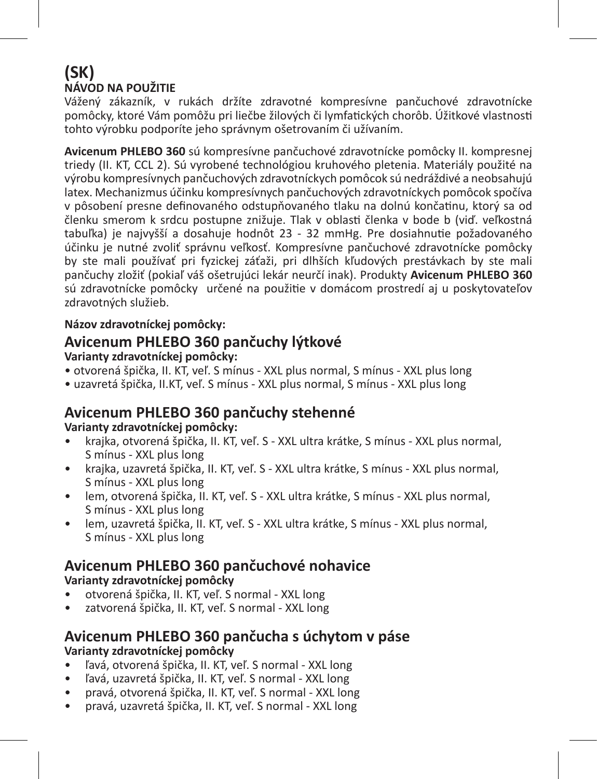## **(SK) NÁVOD NA POUŽITIE**

Vážený zákazník, v rukách držíte zdravotné kompresívne pančuchové zdravotnícke pomôcky, ktoré Vám pomôžu pri liečbe žilových či lymfatických chorôb. Úžitkové vlastnosti tohto výrobku podporíte jeho správnym ošetrovaním či užívaním.

**Avicenum PHLEBO 360** sú kompresívne pančuchové zdravotnícke pomôcky II. kompresnej triedy (II. KT, CCL 2). Sú vyrobené technológiou kruhového pletenia. Materiály použité na výrobu kompresívnych pančuchových zdravotníckych pomôcok sú nedráždivé a neobsahujú latex. Mechanizmus účinku kompresívnych pančuchových zdravotníckych pomôcok spočíva v pôsobení presne definovaného odstupňovaného tlaku na dolnú končatinu, ktorý sa od členku smerom k srdcu postupne znižuje. Tlak v oblasti členka v bode b (viď. veľkostná tabuľka) je najvyšší a dosahuje hodnôt 23 - 32 mmHg. Pre dosiahnutie požadovaného účinku je nutné zvoliť správnu veľkosť. Kompresívne pančuchové zdravotnícke pomôcky by ste mali používať pri fyzickej záťaži, pri dlhších kľudových prestávkach by ste mali pančuchy zložiť (pokiaľ váš ošetrujúci lekár neurčí inak). Produkty **Avicenum PHLEBO 360** sú zdravotnícke pomôcky určené na použitie v domácom prostredí aj u poskytovateľov zdravotných služieb.

### **Názov zdravotníckej pomôcky:**

## **Avicenum PHLEBO 360 pančuchy lýtkové**

### **Varianty zdravotníckej pomôcky:**

- otvorená špička, II. KT, veľ. S mínus XXL plus normal, S mínus XXL plus long
- uzavretá špička, II.KT, veľ. S mínus XXL plus normal, S mínus XXL plus long

### **Avicenum PHLEBO 360 pančuchy stehenné**

### **Varianty zdravotníckej pomôcky:**

- krajka, otvorená špička, II. KT, veľ. S XXL ultra krátke, S mínus XXL plus normal, S mínus - XXL plus long
- krajka, uzavretá špička, II. KT, veľ. S XXL ultra krátke, S mínus XXL plus normal, S mínus - XXL plus long
- lem, otvorená špička, II. KT, veľ. S XXL ultra krátke, S mínus XXL plus normal, S mínus - XXL plus long
- lem, uzavretá špička, II. KT, veľ. S XXL ultra krátke, S mínus XXL plus normal, S mínus - XXL plus long

### **Avicenum PHLEBO 360 pančuchové nohavice**

### **Varianty zdravotníckej pomôcky**

- otvorená špička, II. KT, veľ. S normal XXL long
- zatvorená špička, II. KT, veľ. S normal XXL long

### **Avicenum PHLEBO 360 pančucha s úchytom v páse Varianty zdravotníckej pomôcky**

- ľavá, otvorená špička, II. KT, veľ. S normal XXL long
- ľavá, uzavretá špička, II. KT, veľ. S normal XXL long
- pravá, otvorená špička, II. KT, veľ. S normal XXL long
- pravá, uzavretá špička, II. KT, veľ. S normal XXL long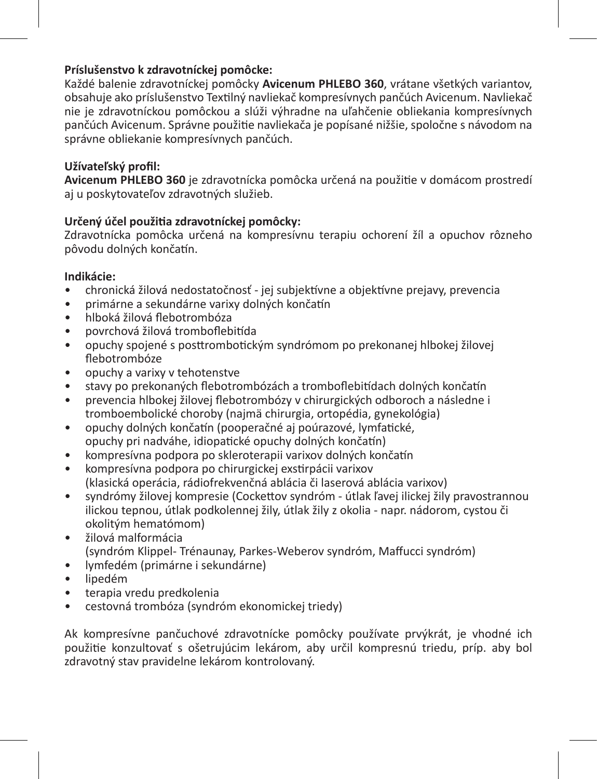### **Príslušenstvo k zdravotníckej pomôcke:**

Každé balenie zdravotníckej pomôcky **Avicenum PHLEBO 360**, vrátane všetkých variantov, obsahuje ako príslušenstvo Textilný navliekač kompresívnych pančúch Avicenum. Navliekač nie je zdravotníckou pomôckou a slúži výhradne na uľahčenie obliekania kompresívnych pančúch Avicenum. Správne použitie navliekača je popísané nižšie, spoločne s návodom na správne obliekanie kompresívnych pančúch.

### **Užívateľský profil:**

**Avicenum PHLEBO 360** je zdravotnícka pomôcka určená na použitie v domácom prostredí aj u poskytovateľov zdravotných služieb.

### **Určený účel použitia zdravotníckej pomôcky:**

Zdravotnícka pomôcka určená na kompresívnu terapiu ochorení žíl a opuchov rôzneho pôvodu dolných končatín.

### **Indikácie:**

- chronická žilová nedostatočnosť jej subjektívne a objektívne prejavy, prevencia
- primárne a sekundárne varixy dolných končatín
- hlboká žilová flebotrombóza
- povrchová žilová tromboflebitída
- opuchy spojené s posttrombotickým syndrómom po prekonanej hlbokej žilovej flebotrombóze
- opuchy a varixy v tehotenstve
- stavy po prekonaných flebotrombózách a tromboflebitídach dolných končatín
- prevencia hlbokej žilovej flebotrombózy v chirurgických odboroch a následne i tromboembolické choroby (najmä chirurgia, ortopédia, gynekológia)
- opuchy dolných končatín (pooperačné aj poúrazové, lymfatické, opuchy pri nadváhe, idiopatické opuchy dolných končatín)
- kompresívna podpora po skleroterapii varixov dolných končatín
- kompresívna podpora po chirurgickej exstirpácii varixov (klasická operácia, rádiofrekvenčná ablácia či laserová ablácia varixov)
- syndrómy žilovej kompresie (Cockettov syndróm útlak ľavej ilickej žily pravostrannou ilickou tepnou, útlak podkolennej žily, útlak žily z okolia - napr. nádorom, cystou či okolitým hematómom)
- žilová malformácia (syndróm Klippel- Trénaunay, Parkes-Weberov syndróm, Maffucci syndróm)
- lymfedém (primárne i sekundárne)
- lipedém
- terapia vredu predkolenia
- cestovná trombóza (syndróm ekonomickej triedy)

Ak kompresívne pančuchové zdravotnícke pomôcky používate prvýkrát, je vhodné ich použitie konzultovať s ošetrujúcim lekárom, aby určil kompresnú triedu, príp. aby bol zdravotný stav pravidelne lekárom kontrolovaný.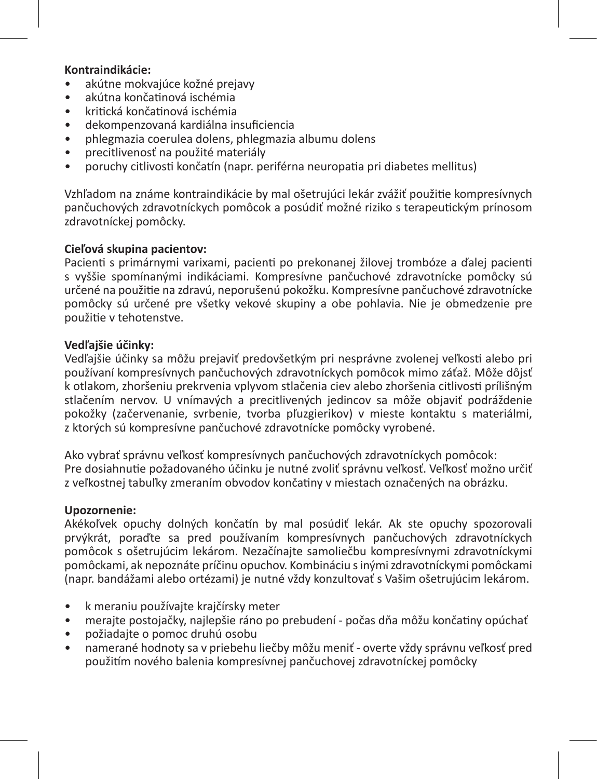### **Kontraindikácie:**

- akútne mokvajúce kožné prejavy
- akútna končatinová ischémia
- kritická končatinová ischémia
- dekompenzovaná kardiálna insuficiencia
- phlegmazia coerulea dolens, phlegmazia albumu dolens
- precitlivenosť na použité materiály
- poruchy citlivosti končatín (napr. periférna neuropatia pri diabetes mellitus)

Vzhľadom na známe kontraindikácie by mal ošetrujúci lekár zvážiť použitie kompresívnych pančuchových zdravotníckych pomôcok a posúdiť možné riziko s terapeutickým prínosom zdravotníckej pomôcky.

### **Cieľová skupina pacientov:**

Pacienti s primárnymi varixami, pacienti po prekonanej žilovej trombóze a ďalej pacienti s vyššie spomínanými indikáciami. Kompresívne pančuchové zdravotnícke pomôcky sú určené na použitie na zdravú, neporušenú pokožku. Kompresívne pančuchové zdravotnícke pomôcky sú určené pre všetky vekové skupiny a obe pohlavia. Nie je obmedzenie pre použitie v tehotenstve.

### **Vedľajšie účinky:**

Vedľajšie účinky sa môžu prejaviť predovšetkým pri nesprávne zvolenej veľkosti alebo pri používaní kompresívnych pančuchových zdravotníckych pomôcok mimo záťaž. Môže dôjsť k otlakom, zhoršeniu prekrvenia vplyvom stlačenia ciev alebo zhoršenia citlivosti prílišným stlačením nervov. U vnímavých a precitlivených jedincov sa môže objaviť podráždenie pokožky (začervenanie, svrbenie, tvorba pľuzgierikov) v mieste kontaktu s materiálmi, z ktorých sú kompresívne pančuchové zdravotnícke pomôcky vyrobené.

Ako vybrať správnu veľkosť kompresívnych pančuchových zdravotníckych pomôcok: Pre dosiahnutie požadovaného účinku je nutné zvoliť správnu veľkosť. Veľkosť možno určiť z veľkostnej tabuľky zmeraním obvodov končatiny v miestach označených na obrázku.

### **Upozornenie:**

Akékoľvek opuchy dolných končatín by mal posúdiť lekár. Ak ste opuchy spozorovali prvýkrát, poraďte sa pred používaním kompresívnych pančuchových zdravotníckych pomôcok s ošetrujúcim lekárom. Nezačínajte samoliečbu kompresívnymi zdravotníckymi pomôckami, ak nepoznáte príčinu opuchov. Kombináciu s inými zdravotníckymi pomôckami (napr. bandážami alebo ortézami) je nutné vždy konzultovať s Vašim ošetrujúcim lekárom.

- k meraniu používajte krajčírsky meter
- merajte postojačky, najlepšie ráno po prebudení počas dňa môžu končatiny opúchať
- požiadajte o pomoc druhú osobu
- namerané hodnoty sa v priebehu liečby môžu meniť overte vždy správnu veľkosť pred použitím nového balenia kompresívnej pančuchovej zdravotníckej pomôcky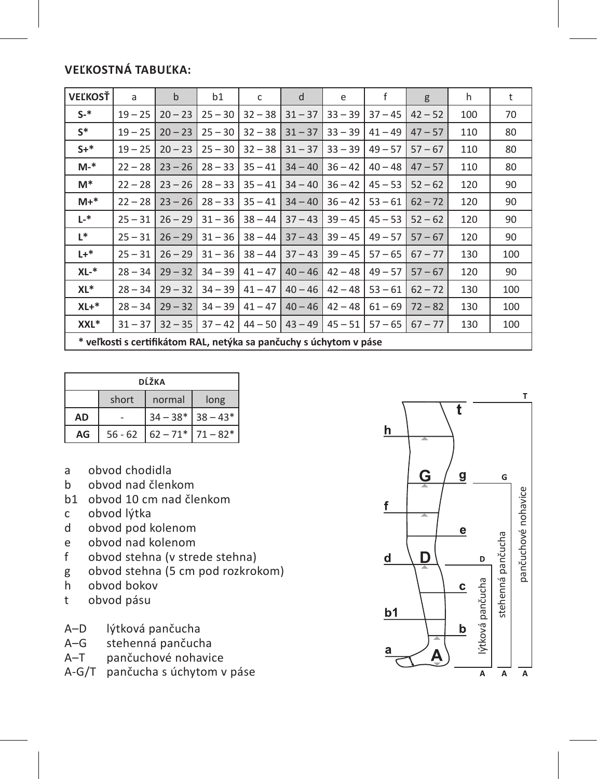### **Veľkostná tabuľka:**

| <b>VEĽKOSŤ</b>                                                     | a         | $\mathbf b$ | b1        | c         | d         | e         | f         | g         | h   | t   |
|--------------------------------------------------------------------|-----------|-------------|-----------|-----------|-----------|-----------|-----------|-----------|-----|-----|
| $S-$ *                                                             | $19 - 25$ | $20 - 23$   | $25 - 30$ | $32 - 38$ | $31 - 37$ | $33 - 39$ | $37 - 45$ | $42 - 52$ | 100 | 70  |
| $S^*$                                                              | $19 - 25$ | $20 - 23$   | $25 - 30$ | $32 - 38$ | $31 - 37$ | $33 - 39$ | $41 - 49$ | $47 - 57$ | 110 | 80  |
| $S+*$                                                              | $19 - 25$ | $20 - 23$   | $25 - 30$ | $32 - 38$ | $31 - 37$ | $33 - 39$ | $49 - 57$ | $57 - 67$ | 110 | 80  |
| $M-*$                                                              | $22 - 28$ | $23 - 26$   | $28 - 33$ | $35 - 41$ | $34 - 40$ | $36 - 42$ | $40 - 48$ | $47 - 57$ | 110 | 80  |
| M*                                                                 | $22 - 28$ | $23 - 26$   | $28 - 33$ | $35 - 41$ | $34 - 40$ | $36 - 42$ | $45 - 53$ | $52 - 62$ | 120 | 90  |
| $M+*$                                                              | $22 - 28$ | $23 - 26$   | $28 - 33$ | $35 - 41$ | $34 - 40$ | $36 - 42$ | $53 - 61$ | $62 - 72$ | 120 | 90  |
| L-*                                                                | $25 - 31$ | $26 - 29$   | $31 - 36$ | $38 - 44$ | $37 - 43$ | $39 - 45$ | $45 - 53$ | $52 - 62$ | 120 | 90  |
| $L^*$                                                              | $25 - 31$ | $26 - 29$   | $31 - 36$ | $38 - 44$ | $37 - 43$ | $39 - 45$ | $49 - 57$ | $57 - 67$ | 120 | 90  |
| $L +$ *                                                            | $25 - 31$ | $26 - 29$   | $31 - 36$ | $38 - 44$ | $37 - 43$ | $39 - 45$ | $57 - 65$ | $67 - 77$ | 130 | 100 |
| $XL-*$                                                             | $28 - 34$ | $29 - 32$   | $34 - 39$ | $41 - 47$ | $40 - 46$ | $42 - 48$ | $49 - 57$ | $57 - 67$ | 120 | 90  |
| XL*                                                                | $28 - 34$ | $29 - 32$   | $34 - 39$ | $41 - 47$ | $40 - 46$ | $42 - 48$ | $53 - 61$ | $62 - 72$ | 130 | 100 |
| $XL+*$                                                             | $28 - 34$ | $29 - 32$   | $34 - 39$ | $41 - 47$ | $40 - 46$ | $42 - 48$ | $61 - 69$ | $72 - 82$ | 130 | 100 |
| XXL*                                                               | $31 - 37$ | $32 - 35$   | $37 - 42$ | $44 - 50$ | $43 - 49$ | $45 - 51$ | $57 - 65$ | $67 - 77$ | 130 | 100 |
| * veľkosti s certifikátom RAL, netýka sa pančuchy s úchytom v páse |           |             |           |           |           |           |           |           |     |     |

| DĹŽKA |           |                       |  |  |  |  |
|-------|-----------|-----------------------|--|--|--|--|
|       | short     | long                  |  |  |  |  |
| AD    |           | $34 - 38$ * 38 - 43*  |  |  |  |  |
| AG    | $56 - 62$ | $62 - 71$ $71 - 82$ * |  |  |  |  |

- a obvod chodidla<br>b obvod nad členl
- b obvod nad členkom
- b1 obvod 10 cm nad členkom<br>c obvod lýtka
- obvod lýtka
- d obvod pod kolenom
- e obvod nad kolenom<br>f obvod stehna (v stre
- obvod stehna (v strede stehna)
- g obvod stehna (5 cm pod rozkrokom)<br>h obvod bokov
- h obvod bokov
- t obvod pásu
- A–D lýtková pančucha<br>A–G stehenná pančuch
- A–G stehenná pančucha<br>A–T pančuchové nohavio
- pančuchové nohavice
- A-G/T pančucha s úchytom v páse

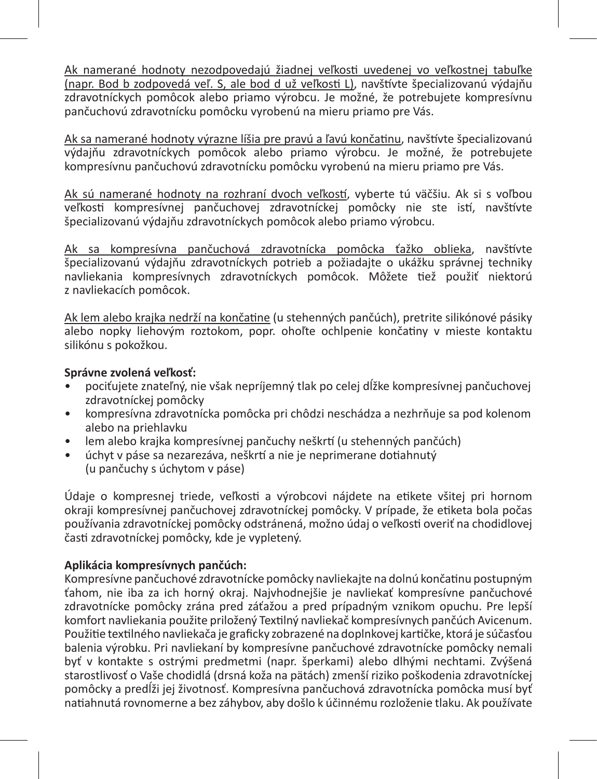Ak namerané hodnoty nezodpovedajú žiadnej veľkosti uvedenej vo veľkostnej tabuľke (napr. Bod b zodpovedá veľ. S, ale bod d už veľkosti L), navštívte špecializovanú výdajňu zdravotníckych pomôcok alebo priamo výrobcu. Je možné, že potrebujete kompresívnu pančuchovú zdravotnícku pomôcku vyrobenú na mieru priamo pre Vás.

Ak sa namerané hodnoty výrazne líšia pre pravú a ľavú končatinu, navštívte špecializovanú výdajňu zdravotníckych pomôcok alebo priamo výrobcu. Je možné, že potrebujete kompresívnu pančuchovú zdravotnícku pomôcku vyrobenú na mieru priamo pre Vás.

Ak sú namerané hodnoty na rozhraní dvoch veľkostí, vyberte tú väčšiu. Ak si s voľbou veľkosti kompresívnej pančuchovej zdravotníckej pomôcky nie ste istí, navštívte špecializovanú výdajňu zdravotníckych pomôcok alebo priamo výrobcu.

Ak sa kompresívna pančuchová zdravotnícka pomôcka ťažko oblieka, navštívte špecializovanú výdajňu zdravotníckych potrieb a požiadajte o ukážku správnej techniky navliekania kompresívnych zdravotníckych pomôcok. Môžete tiež použiť niektorú z navliekacích pomôcok.

Ak lem alebo krajka nedrží na končatine (u stehenných pančúch), pretrite silikónové pásiky alebo nopky liehovým roztokom, popr. ohoľte ochlpenie končatiny v mieste kontaktu silikónu s pokožkou.

### **Správne zvolená veľkosť:**

- pociťujete znateľný, nie však nepríjemný tlak po celej dĺžke kompresívnej pančuchovej zdravotníckej pomôcky
- kompresívna zdravotnícka pomôcka pri chôdzi neschádza a nezhrňuje sa pod kolenom alebo na priehlavku
- lem alebo krajka kompresívnej pančuchy neškrtí (u stehenných pančúch)
- úchyt v páse sa nezarezáva, neškrtí a nie je neprimerane dotiahnutý (u pančuchy s úchytom v páse)

Údaje o kompresnej triede, veľkosti a výrobcovi nájdete na etikete všitej pri hornom okraji kompresívnej pančuchovej zdravotníckej pomôcky. V prípade, že etiketa bola počas používania zdravotníckej pomôcky odstránená, možno údaj o veľkosti overiť na chodidlovej časti zdravotníckej pomôcky, kde je vypletený.

### **Aplikácia kompresívnych pančúch:**

Kompresívne pančuchové zdravotnícke pomôcky navliekajte na dolnú končatinu postupným ťahom, nie iba za ich horný okraj. Najvhodnejšie je navliekať kompresívne pančuchové zdravotnícke pomôcky zrána pred záťažou a pred prípadným vznikom opuchu. Pre lepší komfort navliekania použite priložený Textilný navliekač kompresívnych pančúch Avicenum. Použitie textilného navliekača je graficky zobrazené na doplnkovej kartičke, ktorá je súčasťou balenia výrobku. Pri navliekaní by kompresívne pančuchové zdravotnícke pomôcky nemali byť v kontakte s ostrými predmetmi (napr. šperkami) alebo dlhými nechtami. Zvýšená starostlivosť o Vaše chodidlá (drsná koža na pätách) zmenší riziko poškodenia zdravotníckej pomôcky a predĺži jej životnosť. Kompresívna pančuchová zdravotnícka pomôcka musí byť natiahnutá rovnomerne a bez záhybov, aby došlo k účinnému rozloženie tlaku. Ak používate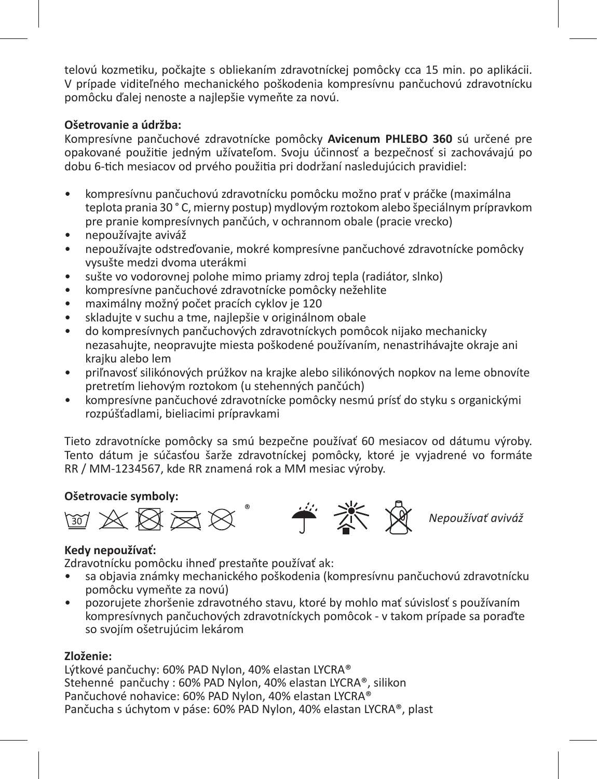telovú kozmetiku, počkajte s obliekaním zdravotníckej pomôcky cca 15 min. po aplikácii. V prípade viditeľného mechanického poškodenia kompresívnu pančuchovú zdravotnícku pomôcku ďalej nenoste a najlepšie vymeňte za novú.

### **Ošetrovanie a údržba:**

Kompresívne pančuchové zdravotnícke pomôcky **Avicenum PHLEBO 360** sú určené pre opakované použitie jedným užívateľom. Svoju účinnosť a bezpečnosť si zachovávajú po dobu 6-tich mesiacov od prvého použitia pri dodržaní nasledujúcich pravidiel:

- kompresívnu pančuchovú zdravotnícku pomôcku možno prať v práčke (maximálna teplota prania 30 ° C, mierny postup) mydlovým roztokom alebo špeciálnym prípravkom pre pranie kompresívnych pančúch, v ochrannom obale (pracie vrecko)
- nepoužívajte aviváž
- nepoužívajte odstreďovanie, mokré kompresívne pančuchové zdravotnícke pomôcky vysušte medzi dvoma uterákmi
- sušte vo vodorovnej polohe mimo priamy zdroj tepla (radiátor, slnko)
- kompresívne pančuchové zdravotnícke pomôcky nežehlite
- maximálny možný počet pracích cyklov je 120
- skladujte v suchu a tme, najlepšie v originálnom obale
- do kompresívnych pančuchových zdravotníckych pomôcok nijako mechanicky nezasahujte, neopravujte miesta poškodené používaním, nenastrihávajte okraje ani krajku alebo lem
- priľnavosť silikónových prúžkov na krajke alebo silikónových nopkov na leme obnovíte pretretím liehovým roztokom (u stehenných pančúch)
- kompresívne pančuchové zdravotnícke pomôcky nesmú prísť do styku s organickými rozpúšťadlami, bieliacimi prípravkami

Tieto zdravotnícke pomôcky sa smú bezpečne používať 60 mesiacov od dátumu výroby. Tento dátum je súčasťou šarže zdravotníckej pomôcky, ktoré je vyjadrené vo formáte RR / MM-1234567, kde RR znamená rok a MM mesiac výroby.

### **Ošetrovacie symboly:**



### **Kedy nepoužívať:**

Zdravotnícku pomôcku ihneď prestaňte používať ak:

- sa objavia známky mechanického poškodenia (kompresívnu pančuchovú zdravotnícku pomôcku vymeňte za novú)
- pozorujete zhoršenie zdravotného stavu, ktoré by mohlo mať súvislosť s používaním kompresívnych pančuchových zdravotníckych pomôcok - v takom prípade sa poraďte so svojím ošetrujúcim lekárom

### **Zloženie:**

Lýtkové pančuchy: 60% PAD Nylon, 40% elastan LYCRA® Stehenné pančuchy : 60% PAD Nylon, 40% elastan LYCRA®, silikon Pančuchové nohavice: 60% PAD Nylon, 40% elastan LYCRA® Pančucha s úchytom v páse: 60% PAD Nylon, 40% elastan LYCRA®, plast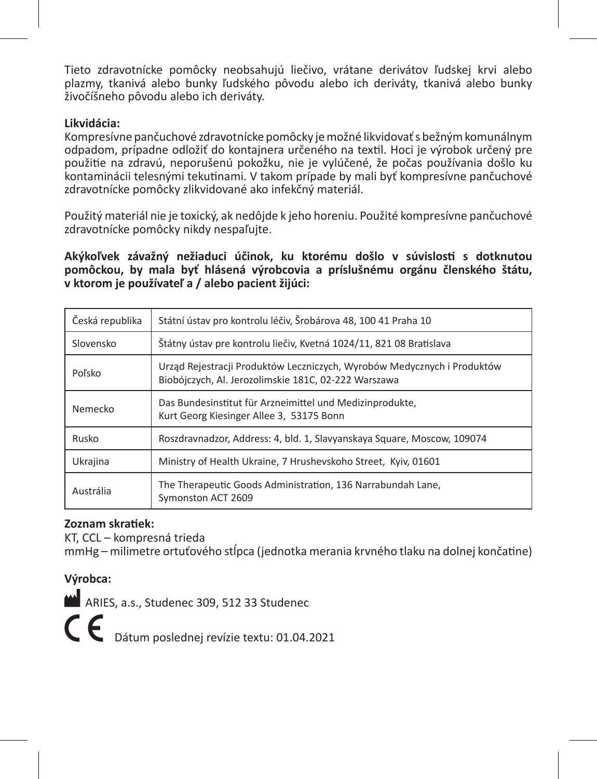Tieto zdravotnícke pomôcky neobsahujú liečivo, vrátane derivátov ľudskej krvi alebo plazmy, tkanivá alebo bunky ľudského pôvodu alebo ich deriváty, tkanivá alebo bunky živočíšneho pôvodu alebo ich deriváty.

### **Likvidácia:**

Kompresívne pančuchové zdravotnícke pomôcky je možné likvidovať s bežným komunálnym odpadom, prípadne odložiť do kontajnera určeného na textil. Hoci je výrobok určený pre použitie na zdravú, neporušenú pokožku, nie je vylúčené, že počas používania došlo ku kontaminácii telesnými tekutinami. V takom prípade by mali byť kompresívne pančuchové zdravotnícke pomôcky zlikvidované ako infekčný materiál.

Použitý materiál nie je toxický, ak nedôjde k jeho horeniu. Použité kompresívne pančuchové zdravotnícke pomôcky nikdy nespaľujte.

**Akýkoľvek závažný nežiaduci účinok, ku ktorému došlo v súvislosti s dotknutou pomôckou, by mala byť hlásená výrobcovia a príslušnému orgánu členského štátu, v ktorom je používateľ a / alebo pacient žijúci:**

| Česká republika | Státní ústav pro kontrolu léčiv, Šrobárova 48, 100 41 Praha 10                                                                  |
|-----------------|---------------------------------------------------------------------------------------------------------------------------------|
| Slovensko       | Štátny ústav pre kontrolu liečiv, Kvetná 1024/11, 821 08 Bratislava                                                             |
| Poľsko          | Urząd Rejestracji Produktów Leczniczych, Wyrobów Medycznych i Produktów<br>Biobóiczych, Al. Jerozolimskie 181C, 02-222 Warszawa |
| Nemecko         | Das Bundesinstitut für Arzneimittel und Medizinprodukte,<br>Kurt Georg Kiesinger Allee 3, 53175 Bonn                            |
| Rusko           | Roszdravnadzor, Address: 4, bld. 1, Slavyanskaya Square, Moscow, 109074                                                         |
| Ukrajina        | Ministry of Health Ukraine, 7 Hrushevskoho Street, Kyiv, 01601                                                                  |
| Austrália       | The Therapeutic Goods Administration, 136 Narrabundah Lane,<br>Symonston ACT 2609                                               |

### **Zoznam skratiek:**

KT, CCL – kompresná trieda

mmHg – milimetre ortuťového stĺpca (jednotka merania krvného tlaku na dolnej končatine)

### **Výrobca:**

ARIES, a.s., Studenec 309, 512 33 Studenec

C  $\epsilon$  Dátum poslednej revízie textu: 01.04.2021